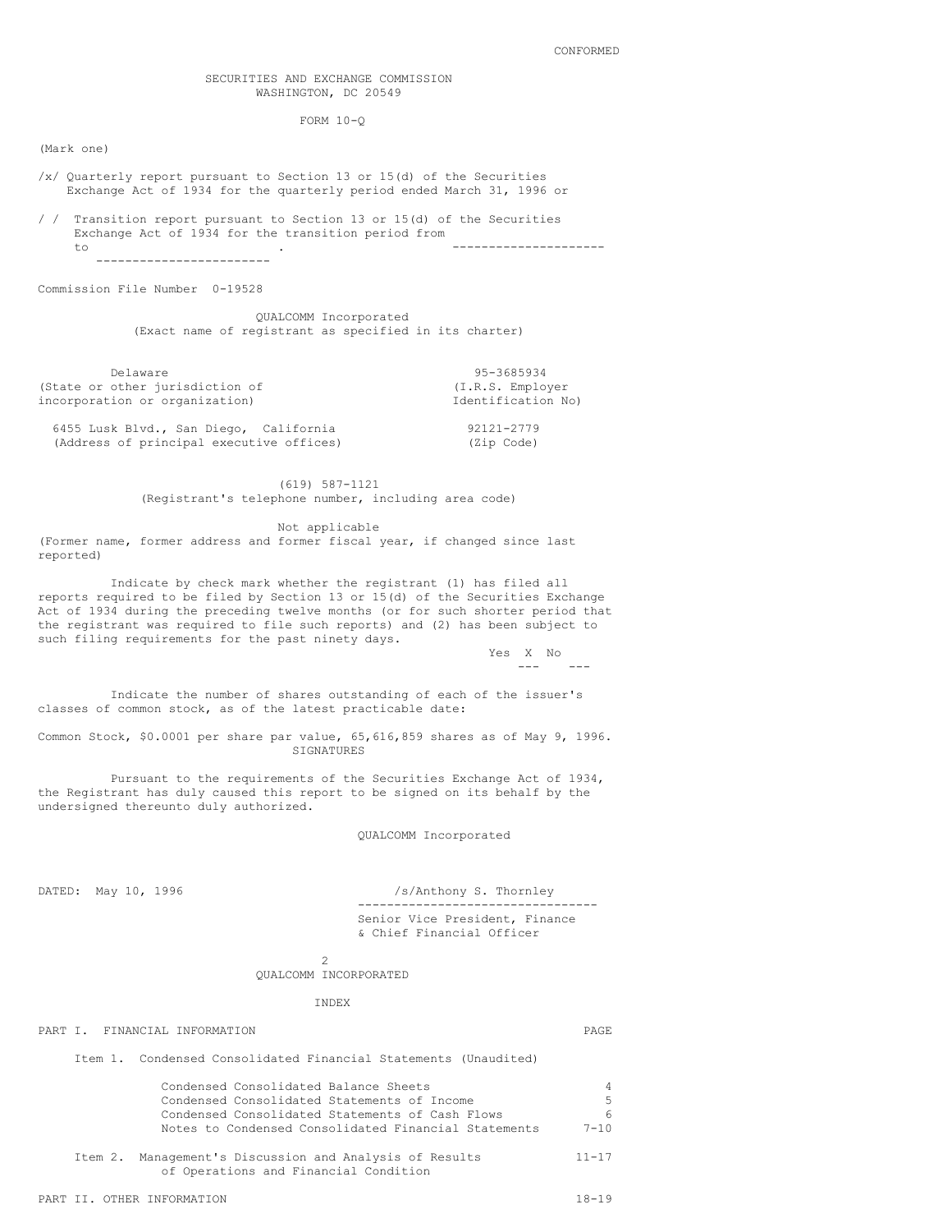### SECURITIES AND EXCHANGE COMMISSION WASHINGTON, DC 20549

FORM 10-Q

(Mark one)

- /x/ Quarterly report pursuant to Section 13 or 15(d) of the Securities Exchange Act of 1934 for the quarterly period ended March 31, 1996 or
- / / Transition report pursuant to Section 13 or 15(d) of the Securities Exchange Act of 1934 for the transition period from to . --------------------- ------------------------

Commission File Number 0-19528

QUALCOMM Incorporated (Exact name of registrant as specified in its charter)

Delaware 95-3685934<br>
other jurisdiction of the Contract of CI.R.S. Employer (State or other jurisdiction of incorporation or organization) and incorporation No)

6455 Lusk Blvd., San Diego, California (2012) 92121-2779<br>(Address of principal executive offices) (2ip Code) (Address of principal executive offices)

> (619) 587-1121 (Registrant's telephone number, including area code)

> > Not applicable

(Former name, former address and former fiscal year, if changed since last reported)

Indicate by check mark whether the registrant (1) has filed all reports required to be filed by Section 13 or 15(d) of the Securities Exchange Act of 1934 during the preceding twelve months (or for such shorter period that the registrant was required to file such reports) and (2) has been subject to such filing requirements for the past ninety days.

> Yes X No --- ---

Indicate the number of shares outstanding of each of the issuer's classes of common stock, as of the latest practicable date:

Common Stock, \$0.0001 per share par value, 65,616,859 shares as of May 9, 1996. SIGNATURES

Pursuant to the requirements of the Securities Exchange Act of 1934, the Registrant has duly caused this report to be signed on its behalf by the undersigned thereunto duly authorized.

QUALCOMM Incorporated

DATED: May 10, 1996 /s/Anthony S. Thornley --------------------------------- Senior Vice President, Finance & Chief Financial Officer

> $\overline{2}$ QUALCOMM INCORPORATED

> > INDEX

# PART I. FINANCIAL INFORMATION **PART I.** PAGE

Item 1. Condensed Consolidated Financial Statements (Unaudited)

| Condensed Consolidated Balance Sheets                |          |
|------------------------------------------------------|----------|
| Condensed Consolidated Statements of Income          | .5.      |
| Condensed Consolidated Statements of Cash Flows      | 6.       |
| Notes to Condensed Consolidated Financial Statements | $7 - 10$ |
|                                                      |          |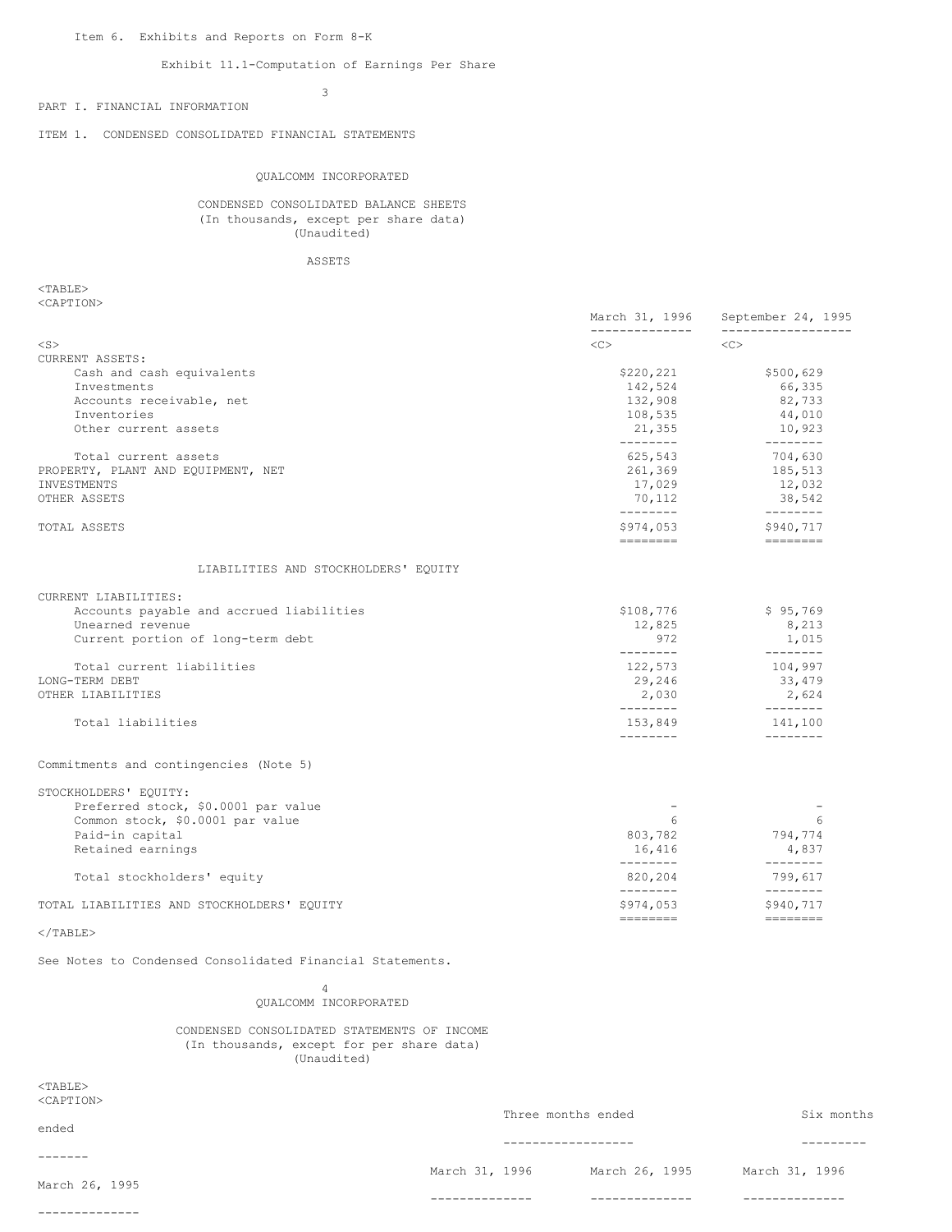## Exhibit 11.1-Computation of Earnings Per Share

3

PART I. FINANCIAL INFORMATION

ITEM 1. CONDENSED CONSOLIDATED FINANCIAL STATEMENTS

#### QUALCOMM INCORPORATED

CONDENSED CONSOLIDATED BALANCE SHEETS (In thousands, except per share data) (Unaudited)

ASSETS

<TABLE> <CAPTION>

|                                                                                                                                          | March 31, 1996<br>______________                                                                                                                                                                                                                                                                                                                                                                                                                                                                                                 | September 24, 1995<br>__________________                                                                                                                                                                                                                                                                                                                                                                                                                                                                               |
|------------------------------------------------------------------------------------------------------------------------------------------|----------------------------------------------------------------------------------------------------------------------------------------------------------------------------------------------------------------------------------------------------------------------------------------------------------------------------------------------------------------------------------------------------------------------------------------------------------------------------------------------------------------------------------|------------------------------------------------------------------------------------------------------------------------------------------------------------------------------------------------------------------------------------------------------------------------------------------------------------------------------------------------------------------------------------------------------------------------------------------------------------------------------------------------------------------------|
| $<$ S $>$                                                                                                                                | <<                                                                                                                                                                                                                                                                                                                                                                                                                                                                                                                               | <<                                                                                                                                                                                                                                                                                                                                                                                                                                                                                                                     |
| CURRENT ASSETS:<br>Cash and cash equivalents<br>Investments<br>Accounts receivable, net<br>Inventories<br>Other current assets           | \$220,221<br>142,524<br>132,908<br>108,535<br>21,355<br>--------                                                                                                                                                                                                                                                                                                                                                                                                                                                                 | \$500,629<br>66,335<br>82,733<br>44,010<br>10,923<br>$---------$                                                                                                                                                                                                                                                                                                                                                                                                                                                       |
| Total current assets<br>PROPERTY, PLANT AND EQUIPMENT, NET<br>INVESTMENTS<br>OTHER ASSETS                                                | 625,543<br>261,369<br>17,029<br>70,112<br>---------                                                                                                                                                                                                                                                                                                                                                                                                                                                                              | 704,630<br>185,513<br>12,032<br>38,542<br>---------                                                                                                                                                                                                                                                                                                                                                                                                                                                                    |
| TOTAL ASSETS                                                                                                                             | \$974,053<br>$\begin{tabular}{ll} \multicolumn{3}{l}{{\color{blue}\textbf{1}}}\\ \multicolumn{3}{l}{\color{blue}\textbf{2}}\\ \multicolumn{3}{l}{\color{blue}\textbf{2}}\\ \multicolumn{3}{l}{\color{blue}\textbf{3}}\\ \multicolumn{3}{l}{\color{blue}\textbf{4}}\\ \multicolumn{3}{l}{\color{blue}\textbf{4}}\\ \multicolumn{3}{l}{\color{blue}\textbf{5}}\\ \multicolumn{3}{l}{\color{blue}\textbf{5}}\\ \multicolumn{3}{l}{\color{blue}\textbf{5}}\\ \multicolumn{3}{l}{\color{blue}\textbf{6}}\\ \multicolumn{3}{l}{\color$ | \$940,717                                                                                                                                                                                                                                                                                                                                                                                                                                                                                                              |
| LIABILITIES AND STOCKHOLDERS' EQUITY                                                                                                     |                                                                                                                                                                                                                                                                                                                                                                                                                                                                                                                                  |                                                                                                                                                                                                                                                                                                                                                                                                                                                                                                                        |
| CURRENT LIABILITIES:<br>Accounts payable and accrued liabilities<br>Unearned revenue<br>Current portion of long-term debt                | \$108,776<br>12,825<br>972                                                                                                                                                                                                                                                                                                                                                                                                                                                                                                       | \$95,769<br>8,213<br>1,015                                                                                                                                                                                                                                                                                                                                                                                                                                                                                             |
| Total current liabilities<br>LONG-TERM DEBT<br>OTHER LIABILITIES                                                                         | $- - - - - - - -$<br>122,573<br>29,246<br>2,030                                                                                                                                                                                                                                                                                                                                                                                                                                                                                  | _________<br>104,997<br>33,479<br>2,624                                                                                                                                                                                                                                                                                                                                                                                                                                                                                |
| Total liabilities                                                                                                                        | ---------<br>153,849<br>--------                                                                                                                                                                                                                                                                                                                                                                                                                                                                                                 | _________<br>141,100<br>$- - - - - - - -$                                                                                                                                                                                                                                                                                                                                                                                                                                                                              |
| Commitments and contingencies (Note 5)                                                                                                   |                                                                                                                                                                                                                                                                                                                                                                                                                                                                                                                                  |                                                                                                                                                                                                                                                                                                                                                                                                                                                                                                                        |
| STOCKHOLDERS' EQUITY:<br>Preferred stock, \$0.0001 par value<br>Common stock, \$0.0001 par value<br>Paid-in capital<br>Retained earnings | 6<br>803,782<br>16,416                                                                                                                                                                                                                                                                                                                                                                                                                                                                                                           | 6<br>794,774<br>4,837                                                                                                                                                                                                                                                                                                                                                                                                                                                                                                  |
| Total stockholders' equity                                                                                                               | --------<br>820,204                                                                                                                                                                                                                                                                                                                                                                                                                                                                                                              | $- - - - - - - -$<br>799,617                                                                                                                                                                                                                                                                                                                                                                                                                                                                                           |
| TOTAL LIABILITIES AND STOCKHOLDERS' EQUITY                                                                                               | ---------<br>\$974,053                                                                                                                                                                                                                                                                                                                                                                                                                                                                                                           | $- - - - - - - -$<br>\$940,717<br>$\begin{array}{cccccc} \multicolumn{2}{c}{} & \multicolumn{2}{c}{} & \multicolumn{2}{c}{} & \multicolumn{2}{c}{} & \multicolumn{2}{c}{} & \multicolumn{2}{c}{} & \multicolumn{2}{c}{} & \multicolumn{2}{c}{} & \multicolumn{2}{c}{} & \multicolumn{2}{c}{} & \multicolumn{2}{c}{} & \multicolumn{2}{c}{} & \multicolumn{2}{c}{} & \multicolumn{2}{c}{} & \multicolumn{2}{c}{} & \multicolumn{2}{c}{} & \multicolumn{2}{c}{} & \multicolumn{2}{c}{} & \multicolumn{2}{c}{} & \multic$ |
| $<$ /TABLE>                                                                                                                              |                                                                                                                                                                                                                                                                                                                                                                                                                                                                                                                                  |                                                                                                                                                                                                                                                                                                                                                                                                                                                                                                                        |
| See Notes to Condensed Consolidated Financial Statements.                                                                                |                                                                                                                                                                                                                                                                                                                                                                                                                                                                                                                                  |                                                                                                                                                                                                                                                                                                                                                                                                                                                                                                                        |
| 4<br>QUALCOMM INCORPORATED                                                                                                               |                                                                                                                                                                                                                                                                                                                                                                                                                                                                                                                                  |                                                                                                                                                                                                                                                                                                                                                                                                                                                                                                                        |
| CONDENSED CONSOLIDATED STATEMENTS OF INCOME<br>(In thousands, except for per share data)                                                 |                                                                                                                                                                                                                                                                                                                                                                                                                                                                                                                                  |                                                                                                                                                                                                                                                                                                                                                                                                                                                                                                                        |

(Unaudited)

 $<$ TABLE> <CAPTION>

--------------

| ended                     |                | Three months ended |                |  |
|---------------------------|----------------|--------------------|----------------|--|
|                           |                |                    |                |  |
| -------<br>March 26, 1995 | March 31, 1996 | March 26, 1995     | March 31, 1996 |  |
|                           |                |                    |                |  |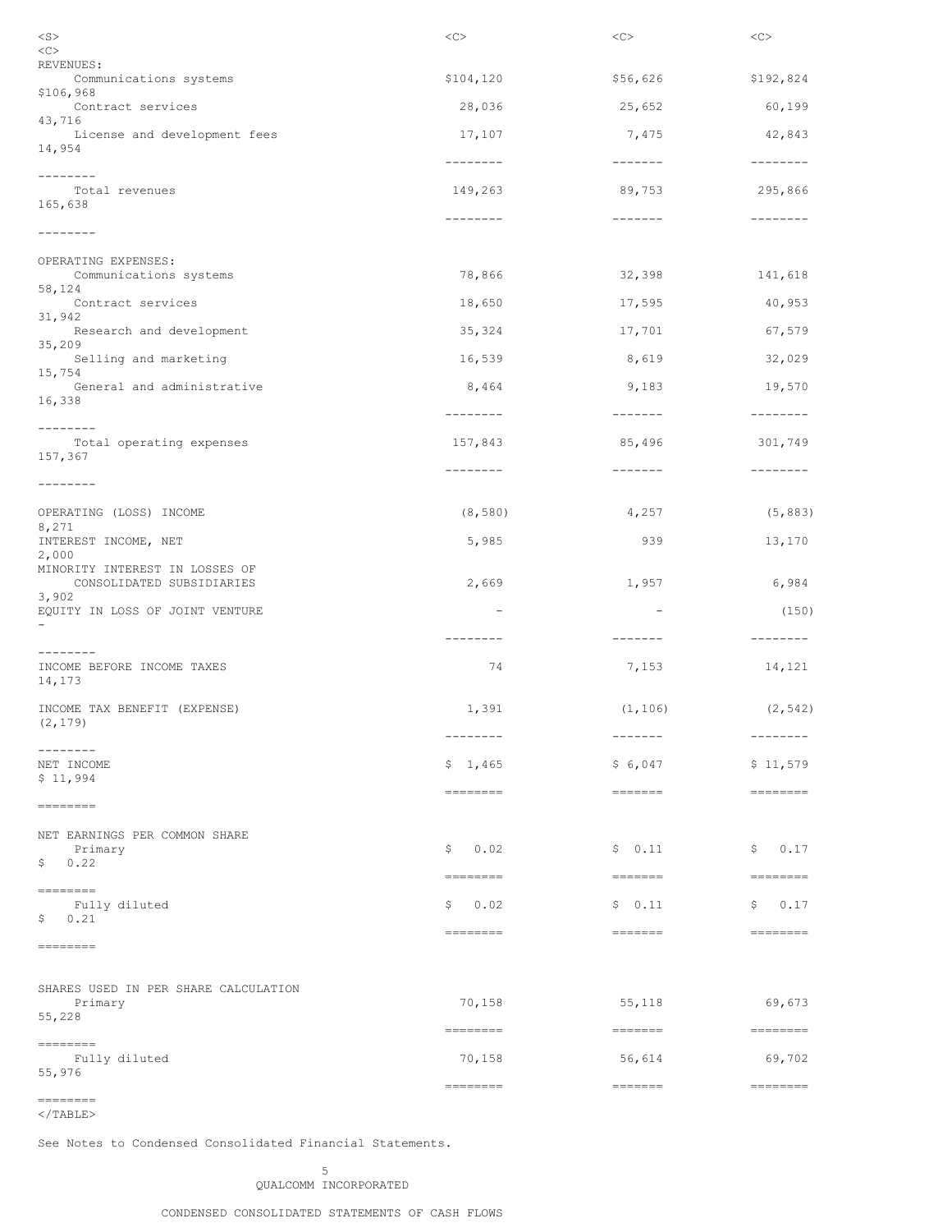| $<$ S $>$<br>< <sub></sub>                                  | <<                       | <<                                                                      | <<                         |
|-------------------------------------------------------------|--------------------------|-------------------------------------------------------------------------|----------------------------|
| REVENUES:                                                   |                          |                                                                         |                            |
| Communications systems<br>\$106,968                         | \$104, 120               | \$56,626                                                                | \$192,824                  |
| Contract services<br>43,716                                 | 28,036                   | 25,652                                                                  | 60,199                     |
| License and development fees<br>14,954                      | 17,107<br>--------       | 7,475<br>$--------$                                                     | 42,843<br>$-- - - - - - -$ |
| --------                                                    |                          |                                                                         |                            |
| Total revenues<br>165,638                                   | 149,263                  | 89,753                                                                  | 295,866                    |
| --------                                                    | --------                 | $-- - - - - -$                                                          | --------                   |
| OPERATING EXPENSES:<br>Communications systems               | 78,866                   | 32,398                                                                  | 141,618                    |
| 58,124<br>Contract services                                 | 18,650                   | 17,595                                                                  | 40,953                     |
| 31,942<br>Research and development                          | 35,324                   | 17,701                                                                  | 67,579                     |
| 35,209                                                      |                          |                                                                         |                            |
| Selling and marketing<br>15,754                             | 16,539                   | 8,619                                                                   | 32,029                     |
| General and administrative<br>16,338                        | 8,464                    | 9,183                                                                   | 19,570                     |
| --------                                                    | --------                 | $--------$                                                              | $- - - - - - - -$          |
| Total operating expenses<br>157,367                         | 157,843                  | 85,496                                                                  | 301,749                    |
| --------                                                    | --------                 | $- - - - - - -$                                                         | --------                   |
| OPERATING (LOSS) INCOME<br>8,271                            | (8, 580)                 | 4,257                                                                   | (5, 883)                   |
| INTEREST INCOME, NET<br>2,000                               | 5,985                    | 939                                                                     | 13,170                     |
| MINORITY INTEREST IN LOSSES OF<br>CONSOLIDATED SUBSIDIARIES | 2,669                    | 1,957                                                                   | 6,984                      |
| 3,902<br>EQUITY IN LOSS OF JOINT VENTURE                    | $\overline{\phantom{m}}$ | $\overline{\phantom{a}}$                                                | (150)                      |
| -                                                           | --------                 | -------                                                                 | --------                   |
| --------<br>INCOME BEFORE INCOME TAXES<br>14,173            | 74                       | 7,153                                                                   | 14,121                     |
| INCOME TAX BENEFIT (EXPENSE)<br>(2, 179)                    | 1,391                    | (1, 106)                                                                | (2, 542)                   |
| --------<br>NET INCOME                                      | --------<br>\$1,465      | $- - - - - - -$<br>\$6,047                                              | --------<br>\$11,579       |
| \$11,994                                                    |                          |                                                                         |                            |
| --------                                                    | ========                 | $\qquad \qquad \equiv \equiv \equiv \equiv \equiv \equiv \equiv \equiv$ | ========                   |
| NET EARNINGS PER COMMON SHARE<br>Primary<br>\$0.22          | 0.02<br>\$               | \$0.11                                                                  | \$0.17                     |
| ========                                                    | ========                 |                                                                         |                            |
| Fully diluted<br>\$0.21                                     | 0.02<br>Ş.               | \$0.11                                                                  | \$0.17                     |
| ========                                                    | ========                 | $=$ =======                                                             |                            |
| SHARES USED IN PER SHARE CALCULATION<br>Primary<br>55,228   | 70,158                   | 55,118                                                                  | 69,673                     |
|                                                             | ========                 | =======                                                                 | ---------                  |
| ========<br>Fully diluted<br>55,976                         | 70,158                   | 56,614                                                                  | 69,702                     |
|                                                             | ========                 | $\qquad \qquad \equiv \equiv \equiv \equiv \equiv \equiv \equiv \equiv$ |                            |

#### ========  $<$ /TABLE>

See Notes to Condensed Consolidated Financial Statements.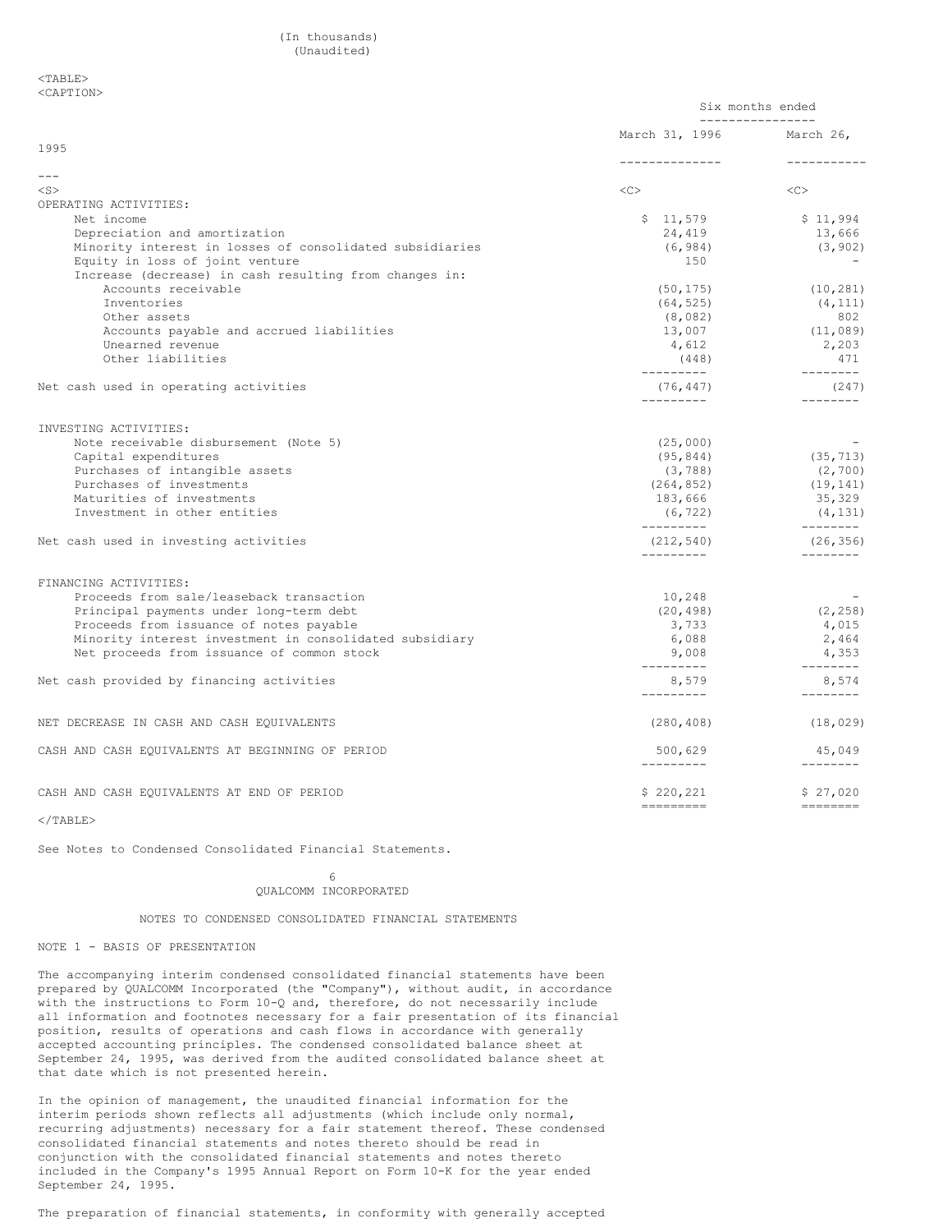#### (In thousands) (Unaudited)

#### <TABLE> <CAPTION>

|                                                                   |                          | Six months ended<br>________________                                                                                                                                                                                                                                                                                                                                                                                                                                                                 |
|-------------------------------------------------------------------|--------------------------|------------------------------------------------------------------------------------------------------------------------------------------------------------------------------------------------------------------------------------------------------------------------------------------------------------------------------------------------------------------------------------------------------------------------------------------------------------------------------------------------------|
|                                                                   | March 31, 1996 March 26, |                                                                                                                                                                                                                                                                                                                                                                                                                                                                                                      |
| 1995                                                              | ---------------          | -----------                                                                                                                                                                                                                                                                                                                                                                                                                                                                                          |
| $---$                                                             |                          |                                                                                                                                                                                                                                                                                                                                                                                                                                                                                                      |
| $<$ S $>$                                                         | < <sub></sub>            | $\langle C \rangle$                                                                                                                                                                                                                                                                                                                                                                                                                                                                                  |
| OPERATING ACTIVITIES:                                             |                          |                                                                                                                                                                                                                                                                                                                                                                                                                                                                                                      |
| Net income                                                        | \$11,579                 | \$11,994                                                                                                                                                                                                                                                                                                                                                                                                                                                                                             |
| Depreciation and amortization                                     | 24,419                   | 13,666                                                                                                                                                                                                                                                                                                                                                                                                                                                                                               |
| Minority interest in losses of consolidated subsidiaries          | (6, 984)                 | (3, 902)                                                                                                                                                                                                                                                                                                                                                                                                                                                                                             |
| Equity in loss of joint venture                                   | 150                      |                                                                                                                                                                                                                                                                                                                                                                                                                                                                                                      |
| Increase (decrease) in cash resulting from changes in:            |                          |                                                                                                                                                                                                                                                                                                                                                                                                                                                                                                      |
| Accounts receivable                                               | (50, 175)                | (10, 281)                                                                                                                                                                                                                                                                                                                                                                                                                                                                                            |
| Inventories                                                       | (64, 525)                | (4, 111)                                                                                                                                                                                                                                                                                                                                                                                                                                                                                             |
| Other assets                                                      | (8,082)                  | 802                                                                                                                                                                                                                                                                                                                                                                                                                                                                                                  |
| Accounts payable and accrued liabilities                          | 13,007                   | (11, 089)                                                                                                                                                                                                                                                                                                                                                                                                                                                                                            |
| Unearned revenue                                                  | 4,612                    | 2,203                                                                                                                                                                                                                                                                                                                                                                                                                                                                                                |
| Other liabilities                                                 | (448)<br>----------      | 471<br>$- - - - - - - -$                                                                                                                                                                                                                                                                                                                                                                                                                                                                             |
| Net cash used in operating activities                             | (76, 447)<br>---------   | (247)<br>--------                                                                                                                                                                                                                                                                                                                                                                                                                                                                                    |
|                                                                   |                          |                                                                                                                                                                                                                                                                                                                                                                                                                                                                                                      |
| INVESTING ACTIVITIES:                                             |                          |                                                                                                                                                                                                                                                                                                                                                                                                                                                                                                      |
| Note receivable disbursement (Note 5)                             | (25,000)                 |                                                                                                                                                                                                                                                                                                                                                                                                                                                                                                      |
| Capital expenditures                                              | (95, 844)                | (35, 713)                                                                                                                                                                                                                                                                                                                                                                                                                                                                                            |
| Purchases of intangible assets                                    | (3, 788)                 | (2, 700)                                                                                                                                                                                                                                                                                                                                                                                                                                                                                             |
| Purchases of investments                                          | (264, 852)               | (19, 141)                                                                                                                                                                                                                                                                                                                                                                                                                                                                                            |
| Maturities of investments                                         | 183,666                  | 35,329                                                                                                                                                                                                                                                                                                                                                                                                                                                                                               |
| Investment in other entities                                      | (6, 722)<br>----------   | (4, 131)<br>_________                                                                                                                                                                                                                                                                                                                                                                                                                                                                                |
| Net cash used in investing activities                             | (212, 540)<br>---------- | (26, 356)<br>$- - - - - - - -$                                                                                                                                                                                                                                                                                                                                                                                                                                                                       |
|                                                                   |                          |                                                                                                                                                                                                                                                                                                                                                                                                                                                                                                      |
| FINANCING ACTIVITIES:<br>Proceeds from sale/leaseback transaction | 10,248                   |                                                                                                                                                                                                                                                                                                                                                                                                                                                                                                      |
| Principal payments under long-term debt                           | (20, 498)                | (2, 258)                                                                                                                                                                                                                                                                                                                                                                                                                                                                                             |
| Proceeds from issuance of notes payable                           | 3,733                    | 4,015                                                                                                                                                                                                                                                                                                                                                                                                                                                                                                |
| Minority interest investment in consolidated subsidiary           | 6,088                    | 2,464                                                                                                                                                                                                                                                                                                                                                                                                                                                                                                |
| Net proceeds from issuance of common stock                        | 9,008                    | 4,353                                                                                                                                                                                                                                                                                                                                                                                                                                                                                                |
|                                                                   | ----------               | _________                                                                                                                                                                                                                                                                                                                                                                                                                                                                                            |
| Net cash provided by financing activities                         | 8,579                    | 8,574                                                                                                                                                                                                                                                                                                                                                                                                                                                                                                |
|                                                                   | ----------               | $- - - - - - - -$                                                                                                                                                                                                                                                                                                                                                                                                                                                                                    |
| NET DECREASE IN CASH AND CASH EQUIVALENTS                         | (280, 408)               | (18, 029)                                                                                                                                                                                                                                                                                                                                                                                                                                                                                            |
| CASH AND CASH EQUIVALENTS AT BEGINNING OF PERIOD                  | 500,629<br>----------    | 45,049<br>$- - - - - - - -$                                                                                                                                                                                                                                                                                                                                                                                                                                                                          |
|                                                                   |                          |                                                                                                                                                                                                                                                                                                                                                                                                                                                                                                      |
| CASH AND CASH EQUIVALENTS AT END OF PERIOD                        | \$220,221<br>=========   | \$27,020<br>$\begin{tabular}{ll} \multicolumn{3}{l}{} & \multicolumn{3}{l}{} & \multicolumn{3}{l}{} \\ \multicolumn{3}{l}{} & \multicolumn{3}{l}{} & \multicolumn{3}{l}{} \\ \multicolumn{3}{l}{} & \multicolumn{3}{l}{} & \multicolumn{3}{l}{} \\ \multicolumn{3}{l}{} & \multicolumn{3}{l}{} & \multicolumn{3}{l}{} \\ \multicolumn{3}{l}{} & \multicolumn{3}{l}{} & \multicolumn{3}{l}{} \\ \multicolumn{3}{l}{} & \multicolumn{3}{l}{} & \multicolumn{3}{l}{} \\ \multicolumn{3}{l}{} & \multic$ |
|                                                                   |                          |                                                                                                                                                                                                                                                                                                                                                                                                                                                                                                      |

 $<$ /TABLE>

See Notes to Condensed Consolidated Financial Statements.

#### 6 QUALCOMM INCORPORATED

#### NOTES TO CONDENSED CONSOLIDATED FINANCIAL STATEMENTS

### NOTE 1 - BASIS OF PRESENTATION

The accompanying interim condensed consolidated financial statements have been prepared by QUALCOMM Incorporated (the "Company"), without audit, in accordance with the instructions to Form 10-Q and, therefore, do not necessarily include all information and footnotes necessary for a fair presentation of its financial position, results of operations and cash flows in accordance with generally accepted accounting principles. The condensed consolidated balance sheet at September 24, 1995, was derived from the audited consolidated balance sheet at that date which is not presented herein.

In the opinion of management, the unaudited financial information for the interim periods shown reflects all adjustments (which include only normal, recurring adjustments) necessary for a fair statement thereof. These condensed consolidated financial statements and notes thereto should be read in conjunction with the consolidated financial statements and notes thereto included in the Company's 1995 Annual Report on Form 10-K for the year ended September 24, 1995.

The preparation of financial statements, in conformity with generally accepted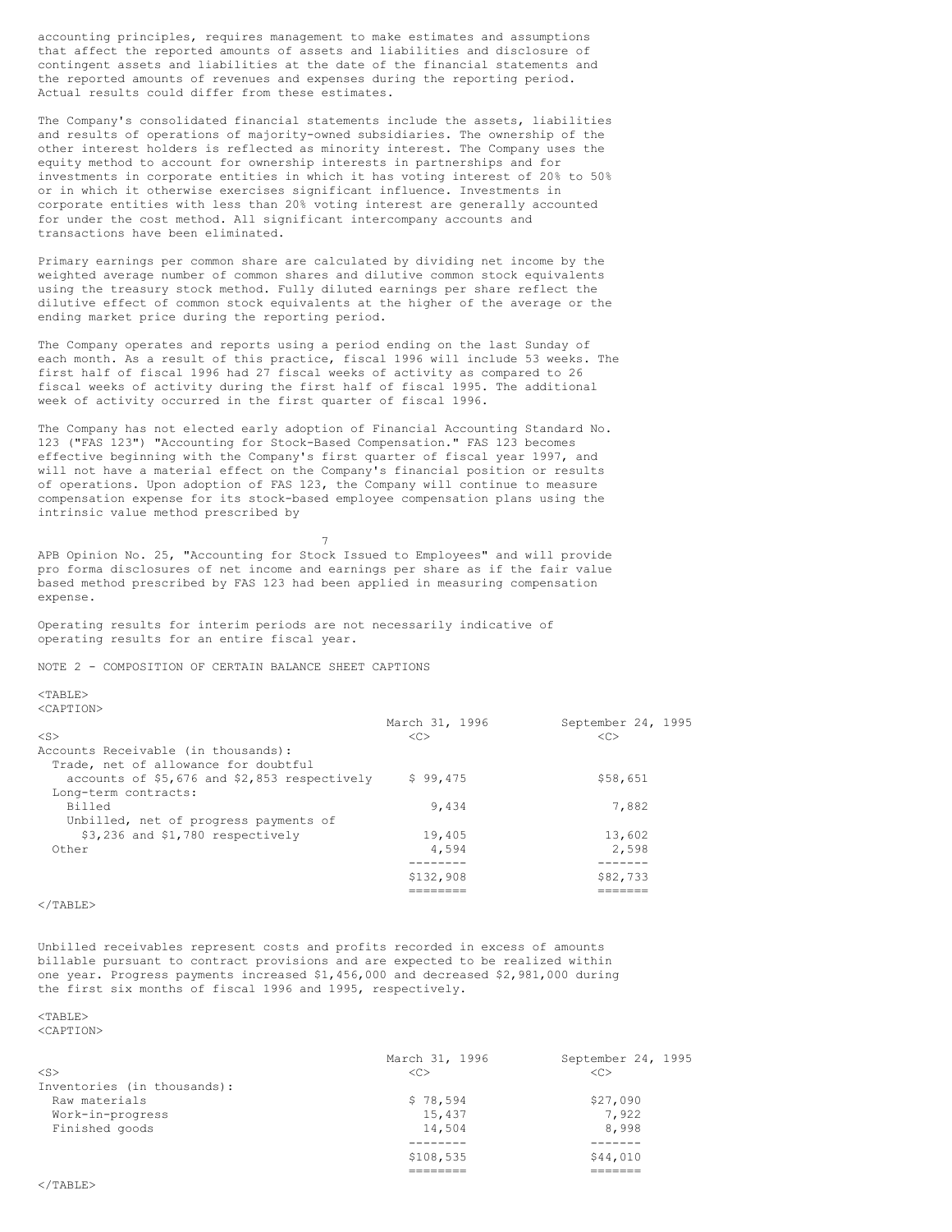accounting principles, requires management to make estimates and assumptions that affect the reported amounts of assets and liabilities and disclosure of contingent assets and liabilities at the date of the financial statements and the reported amounts of revenues and expenses during the reporting period. Actual results could differ from these estimates.

The Company's consolidated financial statements include the assets, liabilities and results of operations of majority-owned subsidiaries. The ownership of the other interest holders is reflected as minority interest. The Company uses the equity method to account for ownership interests in partnerships and for investments in corporate entities in which it has voting interest of 20% to 50% or in which it otherwise exercises significant influence. Investments in corporate entities with less than 20% voting interest are generally accounted for under the cost method. All significant intercompany accounts and transactions have been eliminated.

Primary earnings per common share are calculated by dividing net income by the weighted average number of common shares and dilutive common stock equivalents using the treasury stock method. Fully diluted earnings per share reflect the dilutive effect of common stock equivalents at the higher of the average or the ending market price during the reporting period.

The Company operates and reports using a period ending on the last Sunday of each month. As a result of this practice, fiscal 1996 will include 53 weeks. The first half of fiscal 1996 had 27 fiscal weeks of activity as compared to 26 fiscal weeks of activity during the first half of fiscal 1995. The additional week of activity occurred in the first quarter of fiscal 1996.

The Company has not elected early adoption of Financial Accounting Standard No. 123 ("FAS 123") "Accounting for Stock-Based Compensation." FAS 123 becomes effective beginning with the Company's first quarter of fiscal year 1997, and will not have a material effect on the Company's financial position or results of operations. Upon adoption of FAS 123, the Company will continue to measure compensation expense for its stock-based employee compensation plans using the intrinsic value method prescribed by

APB Opinion No. 25, "Accounting for Stock Issued to Employees" and will provide pro forma disclosures of net income and earnings per share as if the fair value based method prescribed by FAS 123 had been applied in measuring compensation expense.

7

Operating results for interim periods are not necessarily indicative of operating results for an entire fiscal year.

NOTE 2 - COMPOSITION OF CERTAIN BALANCE SHEET CAPTIONS

 $<$ TABLE>

<CAPTION>

|                                              | March 31, 1996 | September 24, 1995 |
|----------------------------------------------|----------------|--------------------|
| $<$ S $>$                                    | <<             | <<                 |
| Accounts Receivable (in thousands):          |                |                    |
| Trade, net of allowance for doubtful         |                |                    |
| accounts of \$5,676 and \$2,853 respectively | \$99,475       | \$58,651           |
| Long-term contracts:                         |                |                    |
| Billed                                       | 9.434          | 7,882              |
| Unbilled, net of progress payments of        |                |                    |
| \$3,236 and \$1,780 respectively             | 19,405         | 13,602             |
| Other                                        | 4.594          | 2,598              |
|                                              |                |                    |
|                                              | \$132,908      | \$82,733           |
|                                              |                |                    |

 $\langle$ /TABLE>

Unbilled receivables represent costs and profits recorded in excess of amounts billable pursuant to contract provisions and are expected to be realized within one year. Progress payments increased \$1,456,000 and decreased \$2,981,000 during the first six months of fiscal 1996 and 1995, respectively.

# $<sub>TAPIT.F></sub>$ </sub>

<CAPTION>

|                             | March 31, 1996 | September 24, 1995 |
|-----------------------------|----------------|--------------------|
| $\langle$ S>                | <<             | < <sub></sub>      |
| Inventories (in thousands): |                |                    |
| Raw materials               | \$78,594       | \$27,090           |
| Work-in-progress            | 15,437         | 7,922              |
| Finished goods              | 14,504         | 8,998              |
|                             |                |                    |
|                             | \$108,535      | \$44,010           |
|                             |                |                    |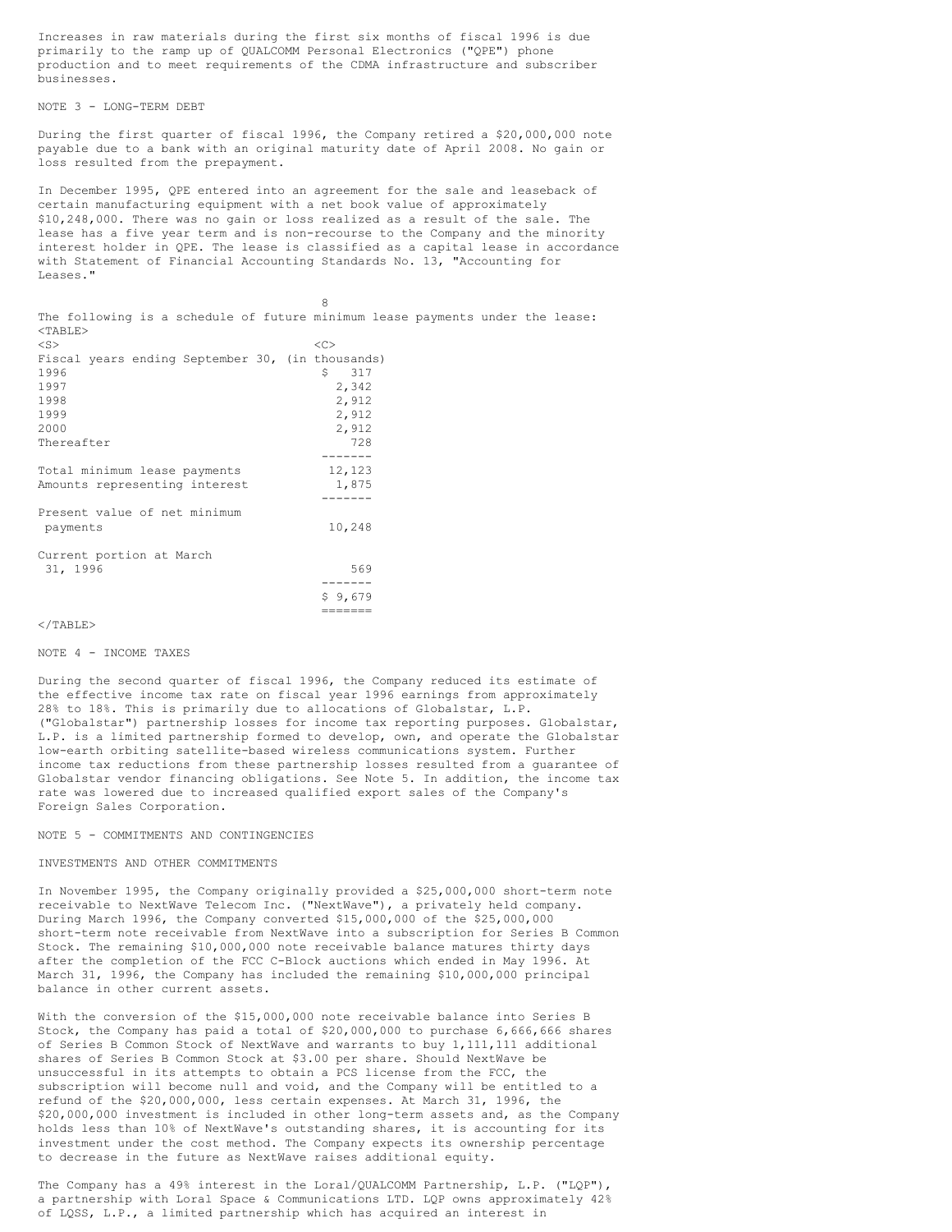Increases in raw materials during the first six months of fiscal 1996 is due primarily to the ramp up of QUALCOMM Personal Electronics ("QPE") phone production and to meet requirements of the CDMA infrastructure and subscriber businesses.

NOTE 3 - LONG-TERM DEBT

During the first quarter of fiscal 1996, the Company retired a \$20,000,000 note payable due to a bank with an original maturity date of April 2008. No gain or loss resulted from the prepayment.

In December 1995, QPE entered into an agreement for the sale and leaseback of certain manufacturing equipment with a net book value of approximately \$10,248,000. There was no gain or loss realized as a result of the sale. The lease has a five year term and is non-recourse to the Company and the minority interest holder in QPE. The lease is classified as a capital lease in accordance with Statement of Financial Accounting Standards No. 13, "Accounting for Leases."

8

| The following is a schedule of future minimum lease payments under the lease:<br>$<$ TABLE> |           |  |  |
|---------------------------------------------------------------------------------------------|-----------|--|--|
| $<$ S $>$                                                                                   | $<\infty$ |  |  |
| Fiscal years ending September 30, (in thousands)                                            |           |  |  |
| 1996                                                                                        | 317<br>S. |  |  |
| 1997                                                                                        | 2,342     |  |  |
| 1998                                                                                        | 2,912     |  |  |
| 1999                                                                                        | 2,912     |  |  |
| 2000                                                                                        | 2,912     |  |  |
| Thereafter                                                                                  | 728       |  |  |
|                                                                                             |           |  |  |
| Total minimum lease payments                                                                | 12,123    |  |  |
| Amounts representing interest                                                               | 1,875     |  |  |
|                                                                                             |           |  |  |
| Present value of net minimum                                                                |           |  |  |
| payments                                                                                    | 10,248    |  |  |
|                                                                                             |           |  |  |
| Current portion at March                                                                    |           |  |  |
| 31, 1996                                                                                    | 569       |  |  |
|                                                                                             |           |  |  |
|                                                                                             | \$9,679   |  |  |
|                                                                                             |           |  |  |
| $\langle$ /TABLE>                                                                           |           |  |  |

#### NOTE 4 - INCOME TAXES

During the second quarter of fiscal 1996, the Company reduced its estimate of the effective income tax rate on fiscal year 1996 earnings from approximately 28% to 18%. This is primarily due to allocations of Globalstar, L.P. ("Globalstar") partnership losses for income tax reporting purposes. Globalstar, L.P. is a limited partnership formed to develop, own, and operate the Globalstar low-earth orbiting satellite-based wireless communications system. Further income tax reductions from these partnership losses resulted from a guarantee of Globalstar vendor financing obligations. See Note 5. In addition, the income tax rate was lowered due to increased qualified export sales of the Company's Foreign Sales Corporation.

#### NOTE 5 - COMMITMENTS AND CONTINGENCIES

### INVESTMENTS AND OTHER COMMITMENTS

In November 1995, the Company originally provided a \$25,000,000 short-term note receivable to NextWave Telecom Inc. ("NextWave"), a privately held company. During March 1996, the Company converted \$15,000,000 of the \$25,000,000 short-term note receivable from NextWave into a subscription for Series B Common Stock. The remaining \$10,000,000 note receivable balance matures thirty days after the completion of the FCC C-Block auctions which ended in May 1996. At March 31, 1996, the Company has included the remaining \$10,000,000 principal balance in other current assets.

With the conversion of the \$15,000,000 note receivable balance into Series B Stock, the Company has paid a total of \$20,000,000 to purchase 6,666,666 shares of Series B Common Stock of NextWave and warrants to buy 1,111,111 additional shares of Series B Common Stock at \$3.00 per share. Should NextWave be unsuccessful in its attempts to obtain a PCS license from the FCC, the subscription will become null and void, and the Company will be entitled to a refund of the \$20,000,000, less certain expenses. At March 31, 1996, the \$20,000,000 investment is included in other long-term assets and, as the Company holds less than 10% of NextWave's outstanding shares, it is accounting for its investment under the cost method. The Company expects its ownership percentage to decrease in the future as NextWave raises additional equity.

The Company has a 49% interest in the Loral/QUALCOMM Partnership, L.P. ("LQP"), a partnership with Loral Space & Communications LTD. LQP owns approximately 42% of LQSS, L.P., a limited partnership which has acquired an interest in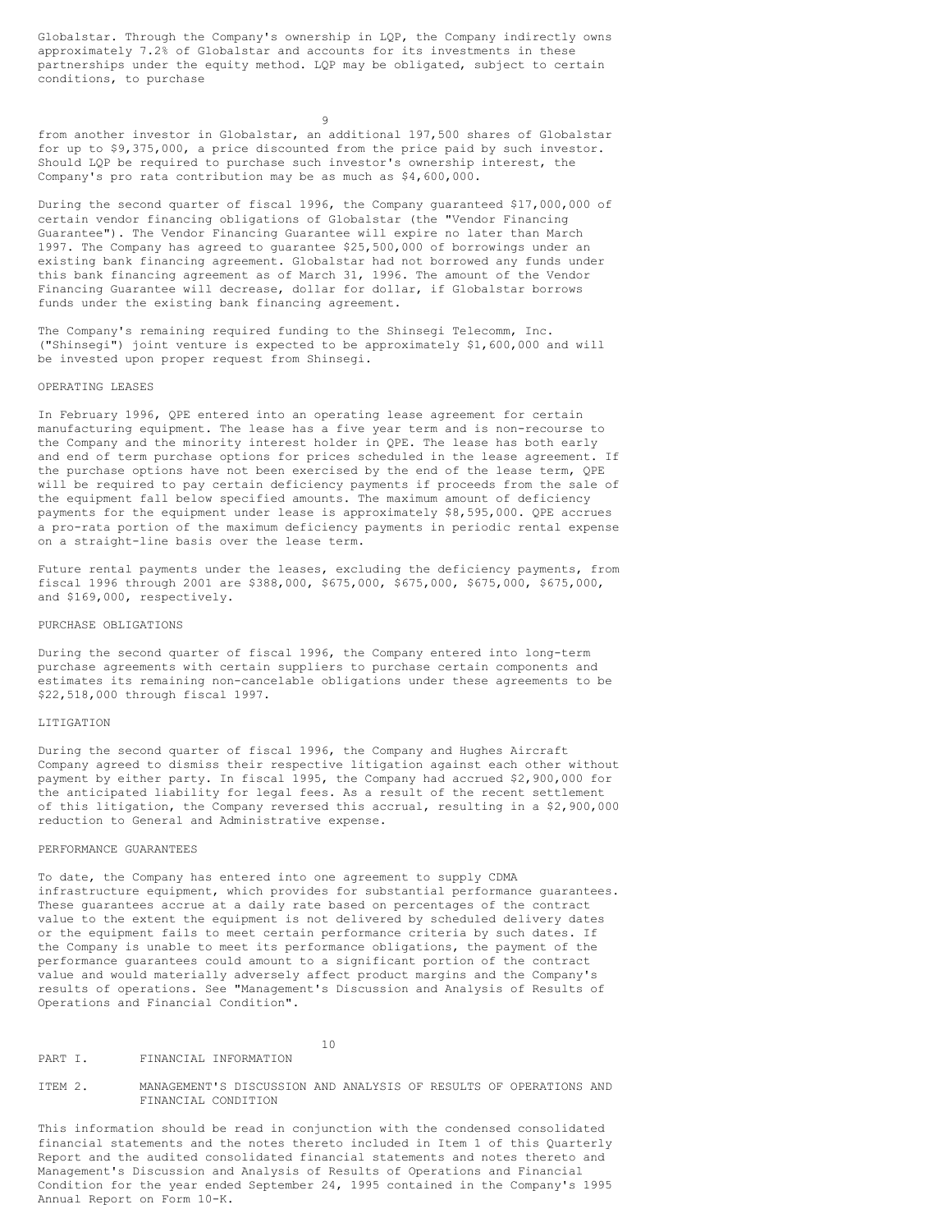Globalstar. Through the Company's ownership in LQP, the Company indirectly owns approximately 7.2% of Globalstar and accounts for its investments in these partnerships under the equity method. LQP may be obligated, subject to certain conditions, to purchase

9

from another investor in Globalstar, an additional 197,500 shares of Globalstar for up to \$9,375,000, a price discounted from the price paid by such investor. Should LQP be required to purchase such investor's ownership interest, the Company's pro rata contribution may be as much as \$4,600,000.

During the second quarter of fiscal 1996, the Company guaranteed \$17,000,000 of certain vendor financing obligations of Globalstar (the "Vendor Financing Guarantee"). The Vendor Financing Guarantee will expire no later than March 1997. The Company has agreed to guarantee \$25,500,000 of borrowings under an existing bank financing agreement. Globalstar had not borrowed any funds under this bank financing agreement as of March 31, 1996. The amount of the Vendor Financing Guarantee will decrease, dollar for dollar, if Globalstar borrows funds under the existing bank financing agreement.

The Company's remaining required funding to the Shinsegi Telecomm, Inc. ("Shinsegi") joint venture is expected to be approximately \$1,600,000 and will be invested upon proper request from Shinsegi.

### OPERATING LEASES

In February 1996, QPE entered into an operating lease agreement for certain manufacturing equipment. The lease has a five year term and is non-recourse to the Company and the minority interest holder in QPE. The lease has both early and end of term purchase options for prices scheduled in the lease agreement. If the purchase options have not been exercised by the end of the lease term, QPE will be required to pay certain deficiency payments if proceeds from the sale of the equipment fall below specified amounts. The maximum amount of deficiency payments for the equipment under lease is approximately \$8,595,000. QPE accrues a pro-rata portion of the maximum deficiency payments in periodic rental expense on a straight-line basis over the lease term.

Future rental payments under the leases, excluding the deficiency payments, from fiscal 1996 through 2001 are \$388,000, \$675,000, \$675,000, \$675,000, \$675,000, and \$169,000, respectively.

#### PURCHASE OBLIGATIONS

During the second quarter of fiscal 1996, the Company entered into long-term purchase agreements with certain suppliers to purchase certain components and estimates its remaining non-cancelable obligations under these agreements to be \$22,518,000 through fiscal 1997.

#### LITIGATION

During the second quarter of fiscal 1996, the Company and Hughes Aircraft Company agreed to dismiss their respective litigation against each other without payment by either party. In fiscal 1995, the Company had accrued \$2,900,000 for the anticipated liability for legal fees. As a result of the recent settlement of this litigation, the Company reversed this accrual, resulting in a \$2,900,000 reduction to General and Administrative expense.

#### PERFORMANCE GUARANTEES

To date, the Company has entered into one agreement to supply CDMA infrastructure equipment, which provides for substantial performance guarantees. These guarantees accrue at a daily rate based on percentages of the contract value to the extent the equipment is not delivered by scheduled delivery dates or the equipment fails to meet certain performance criteria by such dates. If the Company is unable to meet its performance obligations, the payment of the performance guarantees could amount to a significant portion of the contract value and would materially adversely affect product margins and the Company's results of operations. See "Management's Discussion and Analysis of Results of Operations and Financial Condition".

# PART I. FINANCIAL INFORMATION

#### ITEM 2. MANAGEMENT'S DISCUSSION AND ANALYSIS OF RESULTS OF OPERATIONS AND FINANCIAL CONDITION

10

This information should be read in conjunction with the condensed consolidated financial statements and the notes thereto included in Item 1 of this Quarterly Report and the audited consolidated financial statements and notes thereto and Management's Discussion and Analysis of Results of Operations and Financial Condition for the year ended September 24, 1995 contained in the Company's 1995 Annual Report on Form 10-K.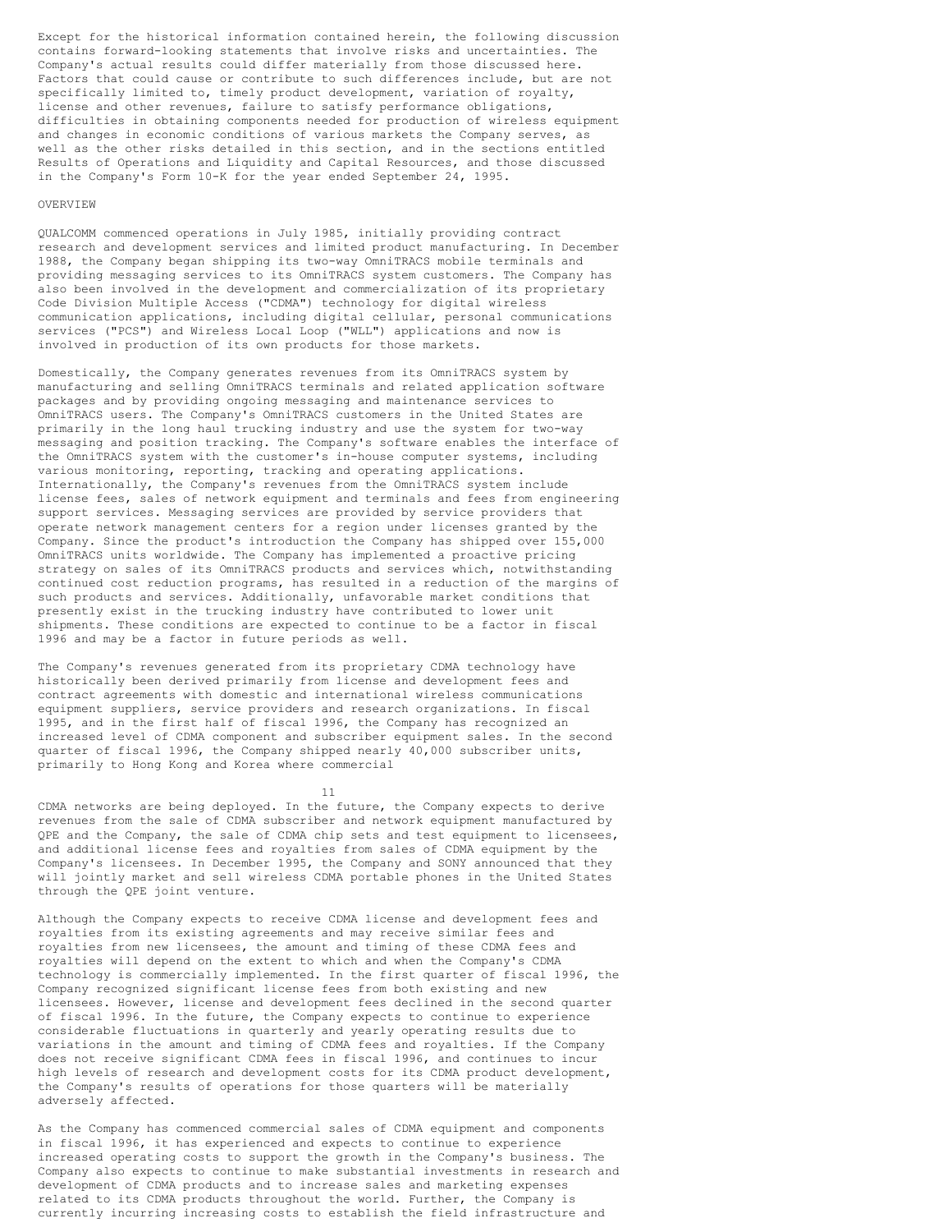Except for the historical information contained herein, the following discussion contains forward-looking statements that involve risks and uncertainties. The Company's actual results could differ materially from those discussed here. Factors that could cause or contribute to such differences include, but are not specifically limited to, timely product development, variation of royalty, license and other revenues, failure to satisfy performance obligations, difficulties in obtaining components needed for production of wireless equipment and changes in economic conditions of various markets the Company serves, as well as the other risks detailed in this section, and in the sections entitled Results of Operations and Liquidity and Capital Resources, and those discussed in the Company's Form 10-K for the year ended September 24, 1995.

#### OVERVIEW

QUALCOMM commenced operations in July 1985, initially providing contract research and development services and limited product manufacturing. In December 1988, the Company began shipping its two-way OmniTRACS mobile terminals and providing messaging services to its OmniTRACS system customers. The Company has also been involved in the development and commercialization of its proprietary Code Division Multiple Access ("CDMA") technology for digital wireless communication applications, including digital cellular, personal communications services ("PCS") and Wireless Local Loop ("WLL") applications and now is involved in production of its own products for those markets.

Domestically, the Company generates revenues from its OmniTRACS system by manufacturing and selling OmniTRACS terminals and related application software packages and by providing ongoing messaging and maintenance services to OmniTRACS users. The Company's OmniTRACS customers in the United States are primarily in the long haul trucking industry and use the system for two-way messaging and position tracking. The Company's software enables the interface of the OmniTRACS system with the customer's in-house computer systems, including various monitoring, reporting, tracking and operating applications. Internationally, the Company's revenues from the OmniTRACS system include license fees, sales of network equipment and terminals and fees from engineering support services. Messaging services are provided by service providers that operate network management centers for a region under licenses granted by the Company. Since the product's introduction the Company has shipped over 155,000 OmniTRACS units worldwide. The Company has implemented a proactive pricing strategy on sales of its OmniTRACS products and services which, notwithstanding continued cost reduction programs, has resulted in a reduction of the margins of such products and services. Additionally, unfavorable market conditions that presently exist in the trucking industry have contributed to lower unit shipments. These conditions are expected to continue to be a factor in fiscal 1996 and may be a factor in future periods as well.

The Company's revenues generated from its proprietary CDMA technology have historically been derived primarily from license and development fees and contract agreements with domestic and international wireless communications equipment suppliers, service providers and research organizations. In fiscal 1995, and in the first half of fiscal 1996, the Company has recognized an increased level of CDMA component and subscriber equipment sales. In the second quarter of fiscal 1996, the Company shipped nearly 40,000 subscriber units, primarily to Hong Kong and Korea where commercial

11

CDMA networks are being deployed. In the future, the Company expects to derive revenues from the sale of CDMA subscriber and network equipment manufactured by QPE and the Company, the sale of CDMA chip sets and test equipment to licensees, and additional license fees and royalties from sales of CDMA equipment by the Company's licensees. In December 1995, the Company and SONY announced that they will jointly market and sell wireless CDMA portable phones in the United States through the QPE joint venture.

Although the Company expects to receive CDMA license and development fees and royalties from its existing agreements and may receive similar fees and royalties from new licensees, the amount and timing of these CDMA fees and royalties will depend on the extent to which and when the Company's CDMA technology is commercially implemented. In the first quarter of fiscal 1996, the Company recognized significant license fees from both existing and new licensees. However, license and development fees declined in the second quarter of fiscal 1996. In the future, the Company expects to continue to experience considerable fluctuations in quarterly and yearly operating results due to variations in the amount and timing of CDMA fees and royalties. If the Company does not receive significant CDMA fees in fiscal 1996, and continues to incur high levels of research and development costs for its CDMA product development, the Company's results of operations for those quarters will be materially adversely affected.

As the Company has commenced commercial sales of CDMA equipment and components in fiscal 1996, it has experienced and expects to continue to experience increased operating costs to support the growth in the Company's business. The Company also expects to continue to make substantial investments in research and development of CDMA products and to increase sales and marketing expenses related to its CDMA products throughout the world. Further, the Company is currently incurring increasing costs to establish the field infrastructure and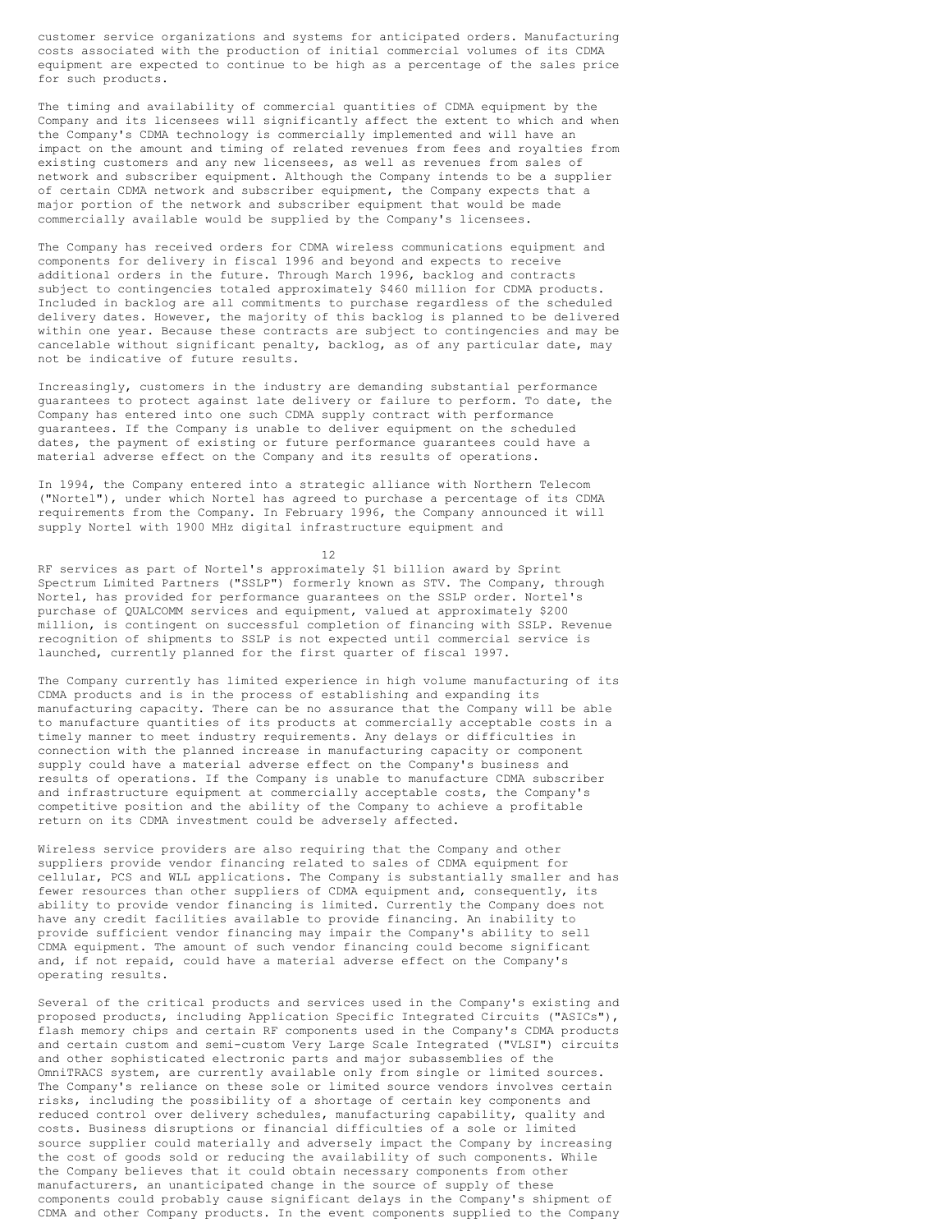customer service organizations and systems for anticipated orders. Manufacturing costs associated with the production of initial commercial volumes of its CDMA equipment are expected to continue to be high as a percentage of the sales price for such products.

The timing and availability of commercial quantities of CDMA equipment by the Company and its licensees will significantly affect the extent to which and when the Company's CDMA technology is commercially implemented and will have an impact on the amount and timing of related revenues from fees and royalties from existing customers and any new licensees, as well as revenues from sales of network and subscriber equipment. Although the Company intends to be a supplier of certain CDMA network and subscriber equipment, the Company expects that a major portion of the network and subscriber equipment that would be made commercially available would be supplied by the Company's licensees.

The Company has received orders for CDMA wireless communications equipment and components for delivery in fiscal 1996 and beyond and expects to receive additional orders in the future. Through March 1996, backlog and contracts subject to contingencies totaled approximately \$460 million for CDMA products. Included in backlog are all commitments to purchase regardless of the scheduled delivery dates. However, the majority of this backlog is planned to be delivered within one year. Because these contracts are subject to contingencies and may be cancelable without significant penalty, backlog, as of any particular date, may not be indicative of future results.

Increasingly, customers in the industry are demanding substantial performance guarantees to protect against late delivery or failure to perform. To date, the Company has entered into one such CDMA supply contract with performance guarantees. If the Company is unable to deliver equipment on the scheduled dates, the payment of existing or future performance guarantees could have a material adverse effect on the Company and its results of operations.

In 1994, the Company entered into a strategic alliance with Northern Telecom ("Nortel"), under which Nortel has agreed to purchase a percentage of its CDMA requirements from the Company. In February 1996, the Company announced it will supply Nortel with 1900 MHz digital infrastructure equipment and

12

RF services as part of Nortel's approximately \$1 billion award by Sprint Spectrum Limited Partners ("SSLP") formerly known as STV. The Company, through Nortel, has provided for performance guarantees on the SSLP order. Nortel's purchase of QUALCOMM services and equipment, valued at approximately \$200 million, is contingent on successful completion of financing with SSLP. Revenue recognition of shipments to SSLP is not expected until commercial service is launched, currently planned for the first quarter of fiscal 1997.

The Company currently has limited experience in high volume manufacturing of its CDMA products and is in the process of establishing and expanding its manufacturing capacity. There can be no assurance that the Company will be able to manufacture quantities of its products at commercially acceptable costs in a timely manner to meet industry requirements. Any delays or difficulties in connection with the planned increase in manufacturing capacity or component supply could have a material adverse effect on the Company's business and results of operations. If the Company is unable to manufacture CDMA subscriber and infrastructure equipment at commercially acceptable costs, the Company's competitive position and the ability of the Company to achieve a profitable return on its CDMA investment could be adversely affected.

Wireless service providers are also requiring that the Company and other suppliers provide vendor financing related to sales of CDMA equipment for cellular, PCS and WLL applications. The Company is substantially smaller and has fewer resources than other suppliers of CDMA equipment and, consequently, its ability to provide vendor financing is limited. Currently the Company does not have any credit facilities available to provide financing. An inability to provide sufficient vendor financing may impair the Company's ability to sell CDMA equipment. The amount of such vendor financing could become significant and, if not repaid, could have a material adverse effect on the Company's operating results.

Several of the critical products and services used in the Company's existing and proposed products, including Application Specific Integrated Circuits ("ASICs"), flash memory chips and certain RF components used in the Company's CDMA products and certain custom and semi-custom Very Large Scale Integrated ("VLSI") circuits and other sophisticated electronic parts and major subassemblies of the OmniTRACS system, are currently available only from single or limited sources. The Company's reliance on these sole or limited source vendors involves certain risks, including the possibility of a shortage of certain key components and reduced control over delivery schedules, manufacturing capability, quality and costs. Business disruptions or financial difficulties of a sole or limited source supplier could materially and adversely impact the Company by increasing the cost of goods sold or reducing the availability of such components. While the Company believes that it could obtain necessary components from other manufacturers, an unanticipated change in the source of supply of these components could probably cause significant delays in the Company's shipment of CDMA and other Company products. In the event components supplied to the Company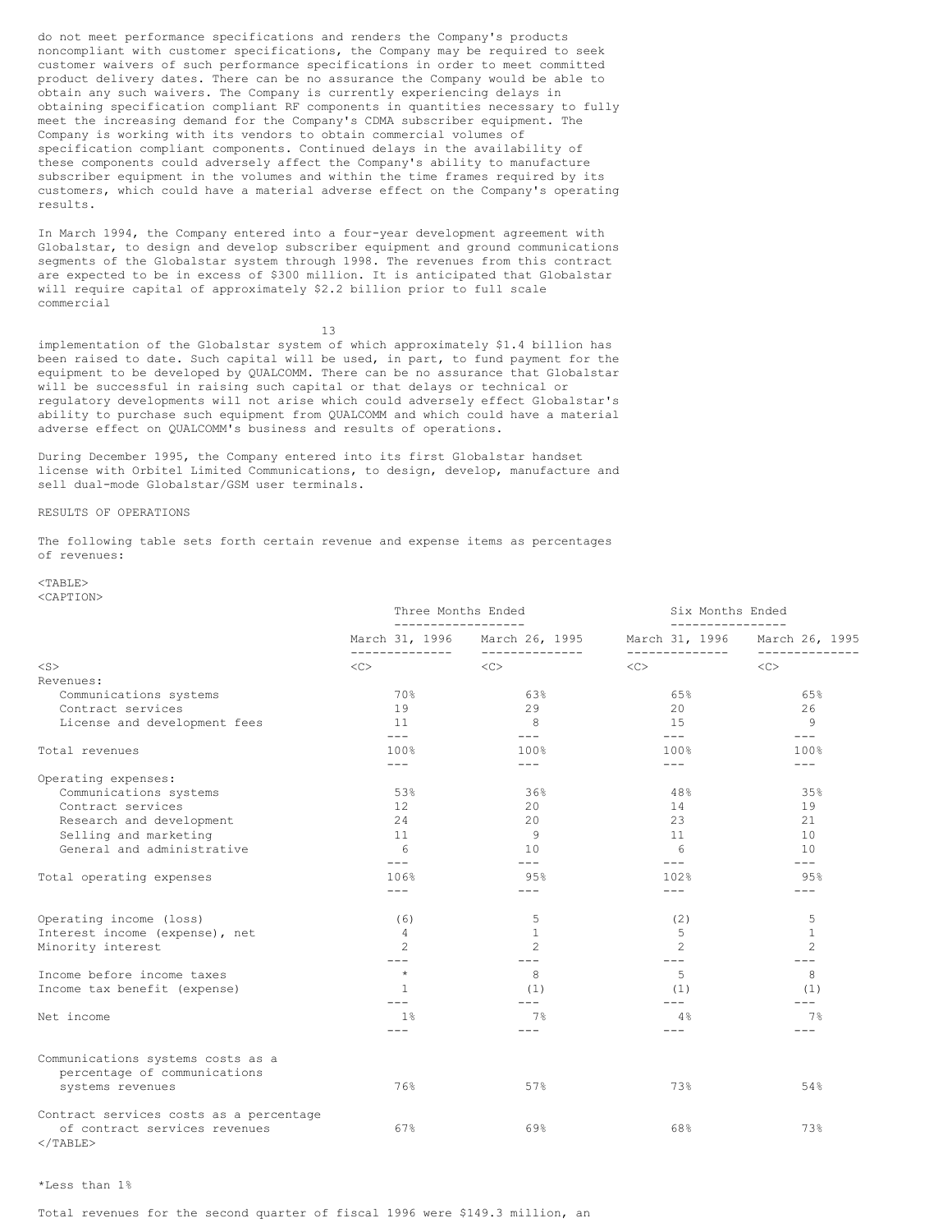do not meet performance specifications and renders the Company's products noncompliant with customer specifications, the Company may be required to seek customer waivers of such performance specifications in order to meet committed product delivery dates. There can be no assurance the Company would be able to obtain any such waivers. The Company is currently experiencing delays in obtaining specification compliant RF components in quantities necessary to fully meet the increasing demand for the Company's CDMA subscriber equipment. The Company is working with its vendors to obtain commercial volumes of specification compliant components. Continued delays in the availability of these components could adversely affect the Company's ability to manufacture subscriber equipment in the volumes and within the time frames required by its customers, which could have a material adverse effect on the Company's operating results.

In March 1994, the Company entered into a four-year development agreement with Globalstar, to design and develop subscriber equipment and ground communications segments of the Globalstar system through 1998. The revenues from this contract are expected to be in excess of \$300 million. It is anticipated that Globalstar will require capital of approximately \$2.2 billion prior to full scale commercial

13

implementation of the Globalstar system of which approximately \$1.4 billion has been raised to date. Such capital will be used, in part, to fund payment for the equipment to be developed by QUALCOMM. There can be no assurance that Globalstar will be successful in raising such capital or that delays or technical or regulatory developments will not arise which could adversely effect Globalstar's ability to purchase such equipment from QUALCOMM and which could have a material adverse effect on QUALCOMM's business and results of operations.

During December 1995, the Company entered into its first Globalstar handset license with Orbitel Limited Communications, to design, develop, manufacture and sell dual-mode Globalstar/GSM user terminals.

#### RESULTS OF OPERATIONS

The following table sets forth certain revenue and expense items as percentages of revenues:

#### <TABLE> <CAPTION>

|                                                    | Three Months Ended        |                        | Six Months Ended                 |                           |
|----------------------------------------------------|---------------------------|------------------------|----------------------------------|---------------------------|
|                                                    | March 31, 1996            | March 26, 1995         | March 31, 1996<br>-------------- | March 26, 1995            |
| $<$ S $>$                                          | $<<$ $<$ $>$              | --------------<br><<   | <<                               | -----------<br><<         |
| Revenues:                                          |                           |                        |                                  |                           |
| Communications systems                             | 70%                       | 63%                    | 65%                              | 65%                       |
| Contract services                                  | 19                        | 29                     | 20                               | 26                        |
| License and development fees                       | 11                        | 8                      | 15                               | 9                         |
| Total revenues                                     | $---$<br>100%             | $---$<br>100%          | $---$<br>100%                    | $---$<br>100%             |
|                                                    | $---$                     | $---$                  | $---$                            | $- - -$                   |
| Operating expenses:                                |                           |                        |                                  |                           |
| Communications systems                             | 53%                       | 36%                    | 48%                              | 35%                       |
| Contract services                                  | 12                        | 20                     | 14                               | 19                        |
| Research and development                           | 24                        | 20                     | 23                               | 21                        |
| Selling and marketing                              | 11                        | 9                      | 11                               | 10                        |
| General and administrative                         | 6                         | 10                     | 6                                | 10                        |
|                                                    | $---$                     | $---$                  | $---$                            | $---$                     |
| Total operating expenses                           | 106%<br>$---$             | 95%<br>$---$           | 102%<br>$---$                    | 95%<br>$- - -$            |
|                                                    |                           |                        |                                  |                           |
| Operating income (loss)                            | (6)                       | 5                      | (2)                              | 5                         |
| Interest income (expense), net                     | 4                         | 1                      | 5                                | 1                         |
| Minority interest                                  | $\overline{c}$<br>$- - -$ | $\mathcal{L}$<br>$---$ | $\overline{c}$<br>$---$          | $\overline{c}$<br>$- - -$ |
| Income before income taxes                         | $\star$                   | 8                      | 5                                | 8                         |
| Income tax benefit (expense)                       | 1                         | (1)                    | (1)                              | (1)                       |
| Net income                                         | $---$<br>1 <sup>°</sup>   | $---$<br>7%            | $---$<br>4%                      | $- - -$<br>7%             |
|                                                    | $- - -$                   | $---$                  | $---$                            | $- - -$                   |
| Communications systems costs as a                  |                           |                        |                                  |                           |
| percentage of communications                       |                           |                        |                                  |                           |
| systems revenues                                   | 76%                       | 57%                    | 73%                              | 54%                       |
| Contract services costs as a percentage            |                           |                        |                                  |                           |
| of contract services revenues<br>$\langle$ /TABLE> | 67%                       | 69%                    | 68%                              | 73%                       |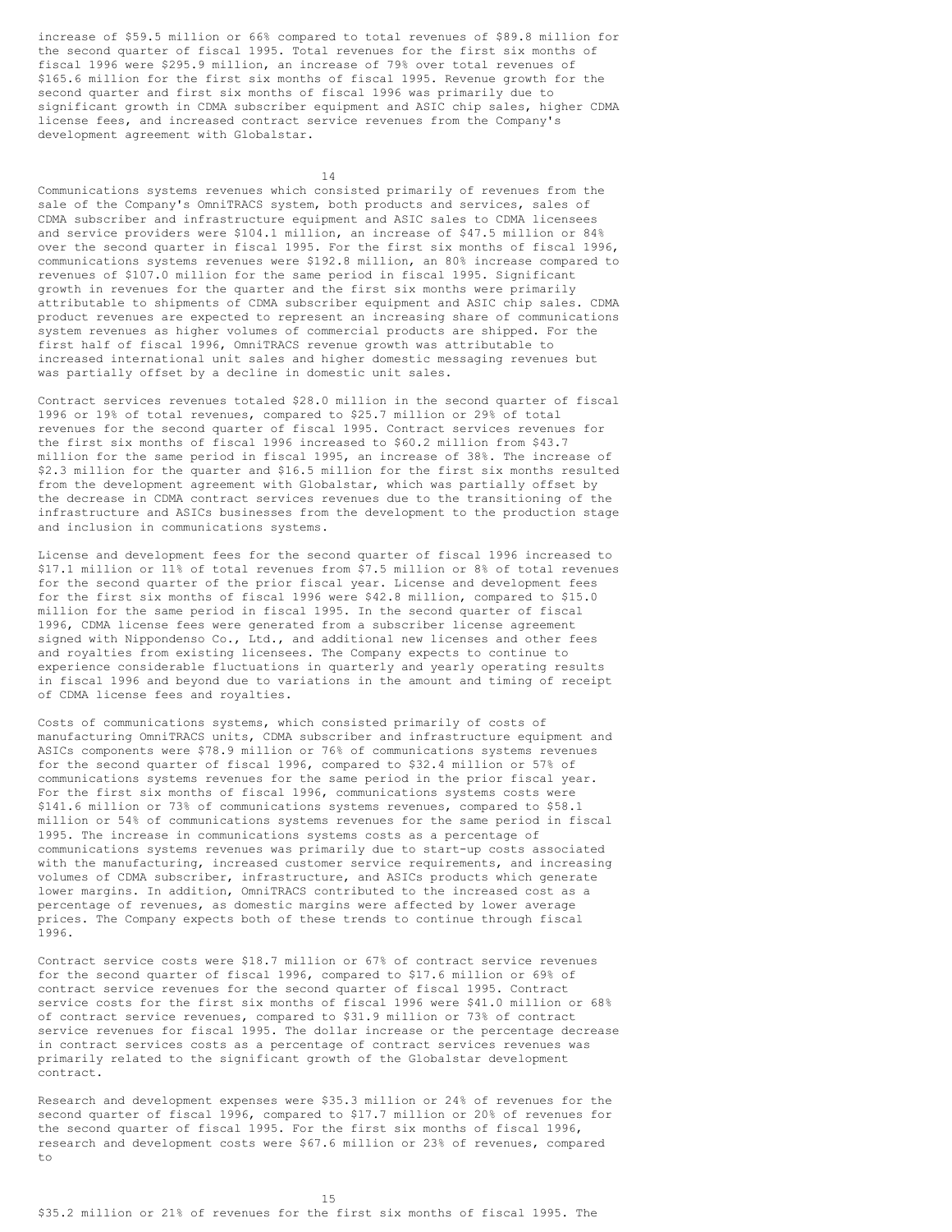increase of \$59.5 million or 66% compared to total revenues of \$89.8 million for the second quarter of fiscal 1995. Total revenues for the first six months of fiscal 1996 were \$295.9 million, an increase of 79% over total revenues of \$165.6 million for the first six months of fiscal 1995. Revenue growth for the second quarter and first six months of fiscal 1996 was primarily due to significant growth in CDMA subscriber equipment and ASIC chip sales, higher CDMA license fees, and increased contract service revenues from the Company's development agreement with Globalstar.

14

Communications systems revenues which consisted primarily of revenues from the sale of the Company's OmniTRACS system, both products and services, sales of CDMA subscriber and infrastructure equipment and ASIC sales to CDMA licensees and service providers were \$104.1 million, an increase of \$47.5 million or 84% over the second quarter in fiscal 1995. For the first six months of fiscal 1996, communications systems revenues were \$192.8 million, an 80% increase compared to revenues of \$107.0 million for the same period in fiscal 1995. Significant growth in revenues for the quarter and the first six months were primarily attributable to shipments of CDMA subscriber equipment and ASIC chip sales. CDMA product revenues are expected to represent an increasing share of communications system revenues as higher volumes of commercial products are shipped. For the first half of fiscal 1996, OmniTRACS revenue growth was attributable to increased international unit sales and higher domestic messaging revenues but was partially offset by a decline in domestic unit sales.

Contract services revenues totaled \$28.0 million in the second quarter of fiscal 1996 or 19% of total revenues, compared to \$25.7 million or 29% of total revenues for the second quarter of fiscal 1995. Contract services revenues for the first six months of fiscal 1996 increased to \$60.2 million from \$43.7 million for the same period in fiscal 1995, an increase of 38%. The increase of \$2.3 million for the quarter and \$16.5 million for the first six months resulted from the development agreement with Globalstar, which was partially offset by the decrease in CDMA contract services revenues due to the transitioning of the infrastructure and ASICs businesses from the development to the production stage and inclusion in communications systems.

License and development fees for the second quarter of fiscal 1996 increased to \$17.1 million or 11% of total revenues from \$7.5 million or 8% of total revenues for the second quarter of the prior fiscal year. License and development fees for the first six months of fiscal 1996 were \$42.8 million, compared to \$15.0 million for the same period in fiscal 1995. In the second quarter of fiscal 1996, CDMA license fees were generated from a subscriber license agreement signed with Nippondenso Co., Ltd., and additional new licenses and other fees and royalties from existing licensees. The Company expects to continue to experience considerable fluctuations in quarterly and yearly operating results in fiscal 1996 and beyond due to variations in the amount and timing of receipt of CDMA license fees and royalties.

Costs of communications systems, which consisted primarily of costs of manufacturing OmniTRACS units, CDMA subscriber and infrastructure equipment and ASICs components were \$78.9 million or 76% of communications systems revenues for the second quarter of fiscal 1996, compared to \$32.4 million or 57% of communications systems revenues for the same period in the prior fiscal year. For the first six months of fiscal 1996, communications systems costs were \$141.6 million or 73% of communications systems revenues, compared to \$58.1 million or 54% of communications systems revenues for the same period in fiscal 1995. The increase in communications systems costs as a percentage of communications systems revenues was primarily due to start-up costs associated with the manufacturing, increased customer service requirements, and increasing volumes of CDMA subscriber, infrastructure, and ASICs products which generate lower margins. In addition, OmniTRACS contributed to the increased cost as a percentage of revenues, as domestic margins were affected by lower average prices. The Company expects both of these trends to continue through fiscal 1996.

Contract service costs were \$18.7 million or 67% of contract service revenues for the second quarter of fiscal 1996, compared to \$17.6 million or 69% of contract service revenues for the second quarter of fiscal 1995. Contract service costs for the first six months of fiscal 1996 were \$41.0 million or 68% of contract service revenues, compared to \$31.9 million or 73% of contract service revenues for fiscal 1995. The dollar increase or the percentage decrease in contract services costs as a percentage of contract services revenues was primarily related to the significant growth of the Globalstar development contract.

Research and development expenses were \$35.3 million or 24% of revenues for the second quarter of fiscal 1996, compared to \$17.7 million or 20% of revenues for the second quarter of fiscal 1995. For the first six months of fiscal 1996, research and development costs were \$67.6 million or 23% of revenues, compared to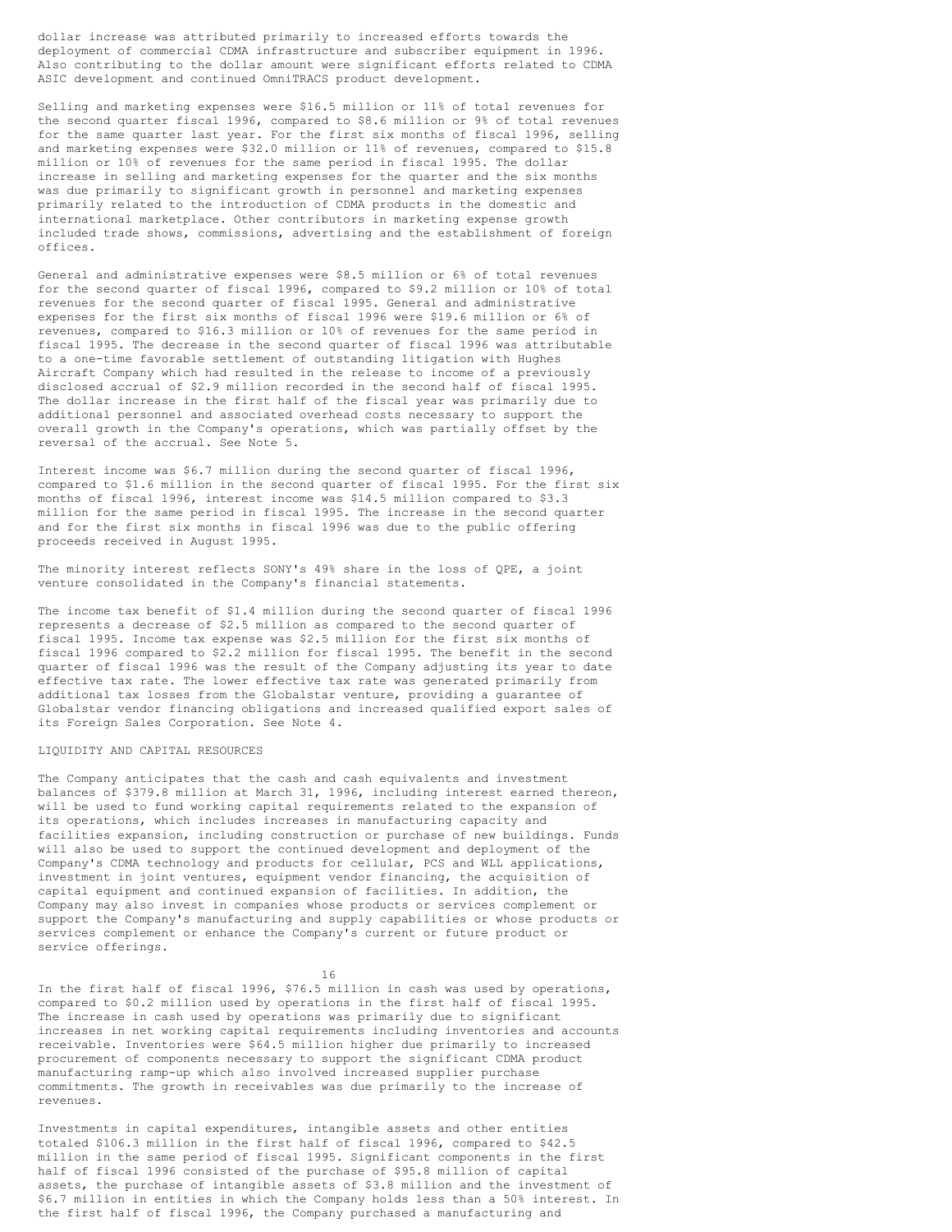dollar increase was attributed primarily to increased efforts towards the deployment of commercial CDMA infrastructure and subscriber equipment in 1996. Also contributing to the dollar amount were significant efforts related to CDMA ASIC development and continued OmniTRACS product development.

Selling and marketing expenses were \$16.5 million or 11% of total revenues for the second quarter fiscal 1996, compared to \$8.6 million or 9% of total revenues for the same quarter last year. For the first six months of fiscal 1996, selling and marketing expenses were \$32.0 million or 11% of revenues, compared to \$15.8 million or 10% of revenues for the same period in fiscal 1995. The dollar increase in selling and marketing expenses for the quarter and the six months was due primarily to significant growth in personnel and marketing expenses primarily related to the introduction of CDMA products in the domestic and international marketplace. Other contributors in marketing expense growth included trade shows, commissions, advertising and the establishment of foreign offices.

General and administrative expenses were \$8.5 million or 6% of total revenues for the second quarter of fiscal 1996, compared to \$9.2 million or 10% of total revenues for the second quarter of fiscal 1995. General and administrative expenses for the first six months of fiscal 1996 were \$19.6 million or 6% of revenues, compared to \$16.3 million or 10% of revenues for the same period in fiscal 1995. The decrease in the second quarter of fiscal 1996 was attributable to a one-time favorable settlement of outstanding litigation with Hughes Aircraft Company which had resulted in the release to income of a previously disclosed accrual of \$2.9 million recorded in the second half of fiscal 1995. The dollar increase in the first half of the fiscal year was primarily due to additional personnel and associated overhead costs necessary to support the overall growth in the Company's operations, which was partially offset by the reversal of the accrual. See Note 5.

Interest income was \$6.7 million during the second quarter of fiscal 1996, compared to \$1.6 million in the second quarter of fiscal 1995. For the first six months of fiscal 1996, interest income was \$14.5 million compared to \$3.3 million for the same period in fiscal 1995. The increase in the second quarter and for the first six months in fiscal 1996 was due to the public offering proceeds received in August 1995.

The minority interest reflects SONY's 49% share in the loss of QPE, a joint venture consolidated in the Company's financial statements.

The income tax benefit of \$1.4 million during the second quarter of fiscal 1996 represents a decrease of \$2.5 million as compared to the second quarter of fiscal 1995. Income tax expense was \$2.5 million for the first six months of fiscal 1996 compared to \$2.2 million for fiscal 1995. The benefit in the second quarter of fiscal 1996 was the result of the Company adjusting its year to date effective tax rate. The lower effective tax rate was generated primarily from additional tax losses from the Globalstar venture, providing a guarantee of Globalstar vendor financing obligations and increased qualified export sales of its Foreign Sales Corporation. See Note 4.

### LIQUIDITY AND CAPITAL RESOURCES

The Company anticipates that the cash and cash equivalents and investment balances of \$379.8 million at March 31, 1996, including interest earned thereon, will be used to fund working capital requirements related to the expansion of its operations, which includes increases in manufacturing capacity and facilities expansion, including construction or purchase of new buildings. Funds will also be used to support the continued development and deployment of the Company's CDMA technology and products for cellular, PCS and WLL applications, investment in joint ventures, equipment vendor financing, the acquisition of capital equipment and continued expansion of facilities. In addition, the Company may also invest in companies whose products or services complement or support the Company's manufacturing and supply capabilities or whose products or services complement or enhance the Company's current or future product or service offerings.

16

In the first half of fiscal 1996, \$76.5 million in cash was used by operations, compared to \$0.2 million used by operations in the first half of fiscal 1995. The increase in cash used by operations was primarily due to significant increases in net working capital requirements including inventories and accounts receivable. Inventories were \$64.5 million higher due primarily to increased procurement of components necessary to support the significant CDMA product manufacturing ramp-up which also involved increased supplier purchase commitments. The growth in receivables was due primarily to the increase of revenues.

Investments in capital expenditures, intangible assets and other entities totaled \$106.3 million in the first half of fiscal 1996, compared to \$42.5 million in the same period of fiscal 1995. Significant components in the first half of fiscal 1996 consisted of the purchase of \$95.8 million of capital assets, the purchase of intangible assets of \$3.8 million and the investment of \$6.7 million in entities in which the Company holds less than a 50% interest. In the first half of fiscal 1996, the Company purchased a manufacturing and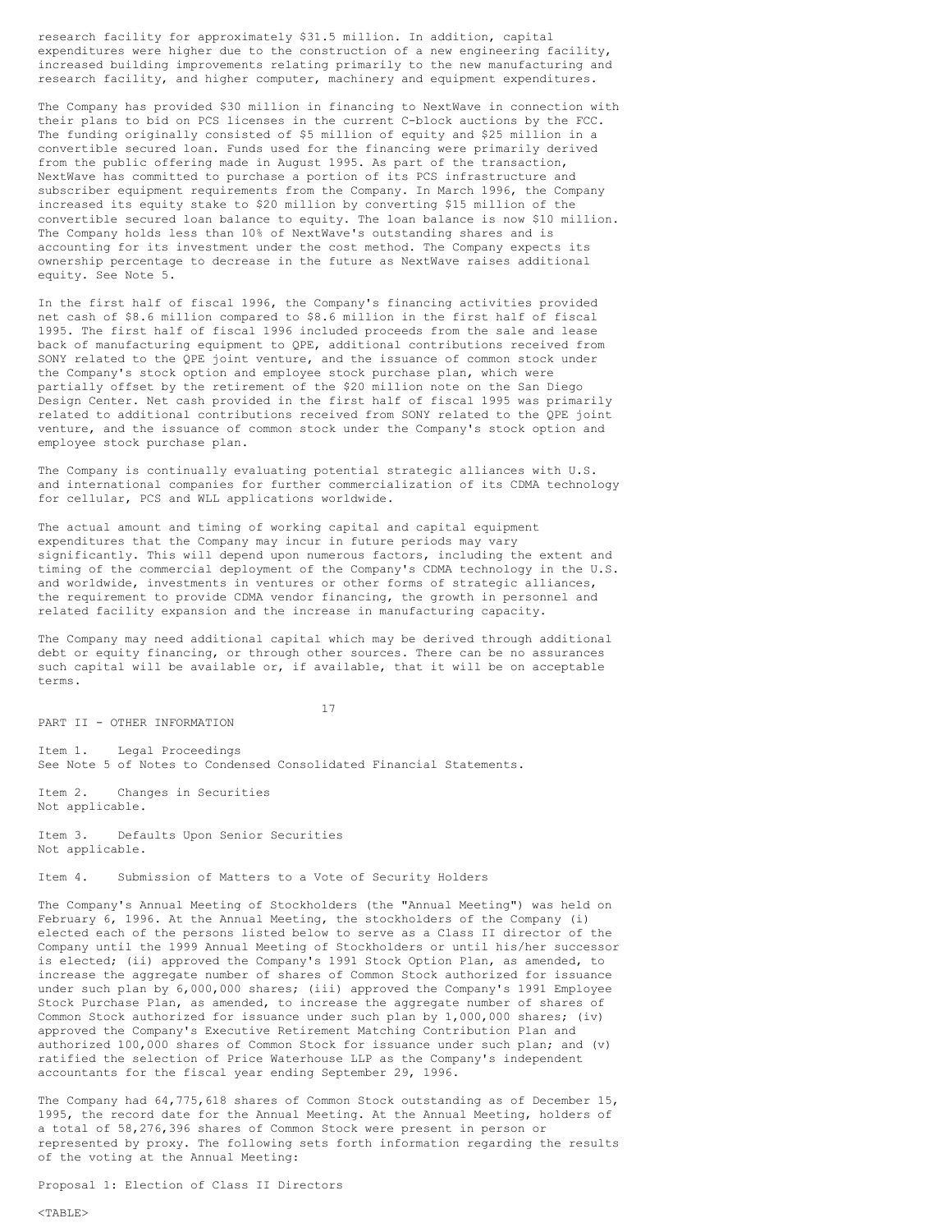research facility for approximately \$31.5 million. In addition, capital expenditures were higher due to the construction of a new engineering facility, increased building improvements relating primarily to the new manufacturing and research facility, and higher computer, machinery and equipment expenditures.

The Company has provided \$30 million in financing to NextWave in connection with their plans to bid on PCS licenses in the current C-block auctions by the FCC. The funding originally consisted of \$5 million of equity and \$25 million in a convertible secured loan. Funds used for the financing were primarily derived from the public offering made in August 1995. As part of the transaction, NextWave has committed to purchase a portion of its PCS infrastructure and subscriber equipment requirements from the Company. In March 1996, the Company increased its equity stake to \$20 million by converting \$15 million of the convertible secured loan balance to equity. The loan balance is now \$10 million. The Company holds less than 10% of NextWave's outstanding shares and is accounting for its investment under the cost method. The Company expects its ownership percentage to decrease in the future as NextWave raises additional equity. See Note 5.

In the first half of fiscal 1996, the Company's financing activities provided net cash of \$8.6 million compared to \$8.6 million in the first half of fiscal 1995. The first half of fiscal 1996 included proceeds from the sale and lease back of manufacturing equipment to QPE, additional contributions received from SONY related to the QPE joint venture, and the issuance of common stock under the Company's stock option and employee stock purchase plan, which were partially offset by the retirement of the \$20 million note on the San Diego Design Center. Net cash provided in the first half of fiscal 1995 was primarily related to additional contributions received from SONY related to the QPE joint venture, and the issuance of common stock under the Company's stock option and employee stock purchase plan.

The Company is continually evaluating potential strategic alliances with U.S. and international companies for further commercialization of its CDMA technology for cellular, PCS and WLL applications worldwide.

The actual amount and timing of working capital and capital equipment expenditures that the Company may incur in future periods may vary significantly. This will depend upon numerous factors, including the extent and timing of the commercial deployment of the Company's CDMA technology in the U.S. and worldwide, investments in ventures or other forms of strategic alliances, the requirement to provide CDMA vendor financing, the growth in personnel and related facility expansion and the increase in manufacturing capacity.

The Company may need additional capital which may be derived through additional debt or equity financing, or through other sources. There can be no assurances such capital will be available or, if available, that it will be on acceptable terms.

17

Item 1. Legal Proceedings See Note 5 of Notes to Condensed Consolidated Financial Statements.

Item 2. Changes in Securities Not applicable.

PART II - OTHER INFORMATION

Item 3. Defaults Upon Senior Securities Not applicable.

Item 4. Submission of Matters to a Vote of Security Holders

The Company's Annual Meeting of Stockholders (the "Annual Meeting") was held on February 6, 1996. At the Annual Meeting, the stockholders of the Company (i) elected each of the persons listed below to serve as a Class II director of the Company until the 1999 Annual Meeting of Stockholders or until his/her successor is elected; (ii) approved the Company's 1991 Stock Option Plan, as amended, to increase the aggregate number of shares of Common Stock authorized for issuance under such plan by 6,000,000 shares; (iii) approved the Company's 1991 Employee Stock Purchase Plan, as amended, to increase the aggregate number of shares of Common Stock authorized for issuance under such plan by 1,000,000 shares; (iv) approved the Company's Executive Retirement Matching Contribution Plan and authorized 100,000 shares of Common Stock for issuance under such plan; and (v) ratified the selection of Price Waterhouse LLP as the Company's independent accountants for the fiscal year ending September 29, 1996.

The Company had 64,775,618 shares of Common Stock outstanding as of December 15, 1995, the record date for the Annual Meeting. At the Annual Meeting, holders of a total of 58,276,396 shares of Common Stock were present in person or represented by proxy. The following sets forth information regarding the results of the voting at the Annual Meeting:

Proposal 1: Election of Class II Directors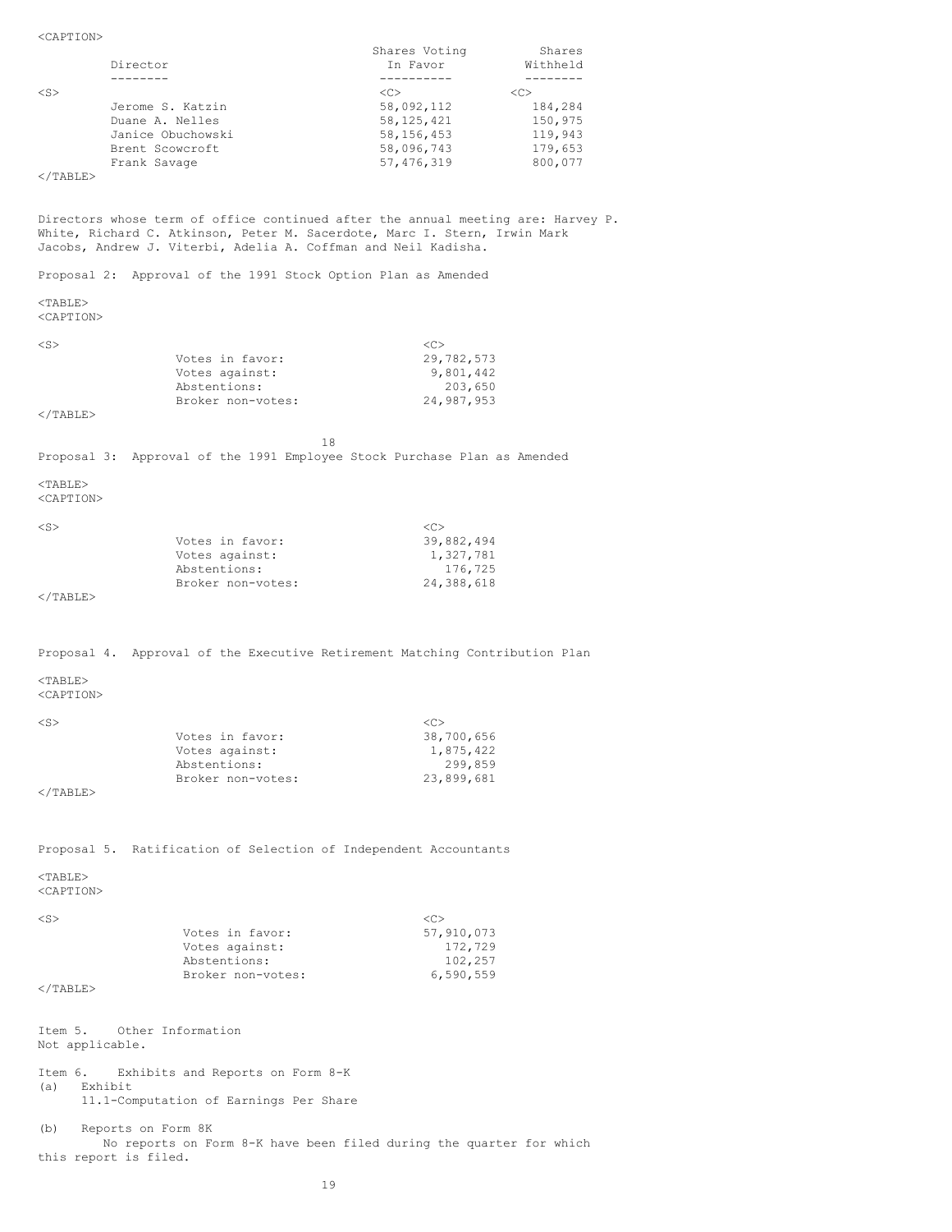Shares Voting Shares Director In Favor Withheld (1999) (1999) (1999) (1999) (1999) (1999) (1999) (1999) (1999) (1999) (1999) (1999) (1999) (1999) (1999) (1999) (1999) (1999) (1999) (1999) (1999) (1999) (1999) (1999) (1999) (1999) (1999) (1999) -------- ---------- -------- <S> <C> <C> Jerome S. Katzin 58,092,112 184,284<br>Duane A. Nelles 58,125,421 150,975 Duane A. Nelles 58,125,421 150,975<br>
Janice Obuchowski 58,156,453 119,943 Janice Obuchowski 58,156,453 119,943<br>Brent Scowcroft 58,096,743 179,653 Brent Scowcroft 58,096,743<br>Frank Savage 57,476,319 Frank Savage 31 and 57,476,319 800,077  $<$ /TABLE $>$ Directors whose term of office continued after the annual meeting are: Harvey P. White, Richard C. Atkinson, Peter M. Sacerdote, Marc I. Stern, Irwin Mark Jacobs, Andrew J. Viterbi, Adelia A. Coffman and Neil Kadisha. Proposal 2: Approval of the 1991 Stock Option Plan as Amended <TABLE> <CAPTION>  $\langle S \rangle$   $\langle C \rangle$ Votes in favor: 29,782,573 Votes against: 9,801,442<br>Abstentions: 203,650 Abstentions: 203,650<br>Broker non-votes: 24,987,953 Broker non-votes: </TABLE> 18 Proposal 3: Approval of the 1991 Employee Stock Purchase Plan as Amended  $<$ TABLE> <CAPTION>  $\langle S \rangle$   $\langle C \rangle$ Votes in favor: 39,882,494 Votes against: 1,327,781 Abstentions: 176,725<br>Broker non-votes: 24,388,618 Broker non-votes:  $\langle$ /TABLE> Proposal 4. Approval of the Executive Retirement Matching Contribution Plan  $<$ TABLE> <CAPTION>  $\langle S \rangle$   $\langle C \rangle$ Votes in favor: 38,700,656<br>Votes against: 1,875,422 Votes against: 1,875,422<br>Abstentions: 299,859 Abstentions: 299,859<br>Broker non-votes: 23,899,681 Broker non-votes:  $<$ /TABLE $>$ Proposal 5. Ratification of Selection of Independent Accountants  $<$ TABLE $>$ <CAPTION>  $\langle S \rangle$   $\langle C \rangle$ Votes in favor: 57,910,073<br>Votes against: 57,910,073 Votes in Lavoi.<br>
Votes against: 172,729<br>
Abstentions: 102,257 Abstentions: 102,257<br>Broker non-votes: 6,590,559 Broker non-votes:  $\langle$ /TABLE> Item 5. Other Information Not applicable. Item 6. Exhibits and Reports on Form 8-K (a) Exhibit 11.1-Computation of Earnings Per Share (b) Reports on Form 8K No reports on Form 8-K have been filed during the quarter for which

<CAPTION>

this report is filed.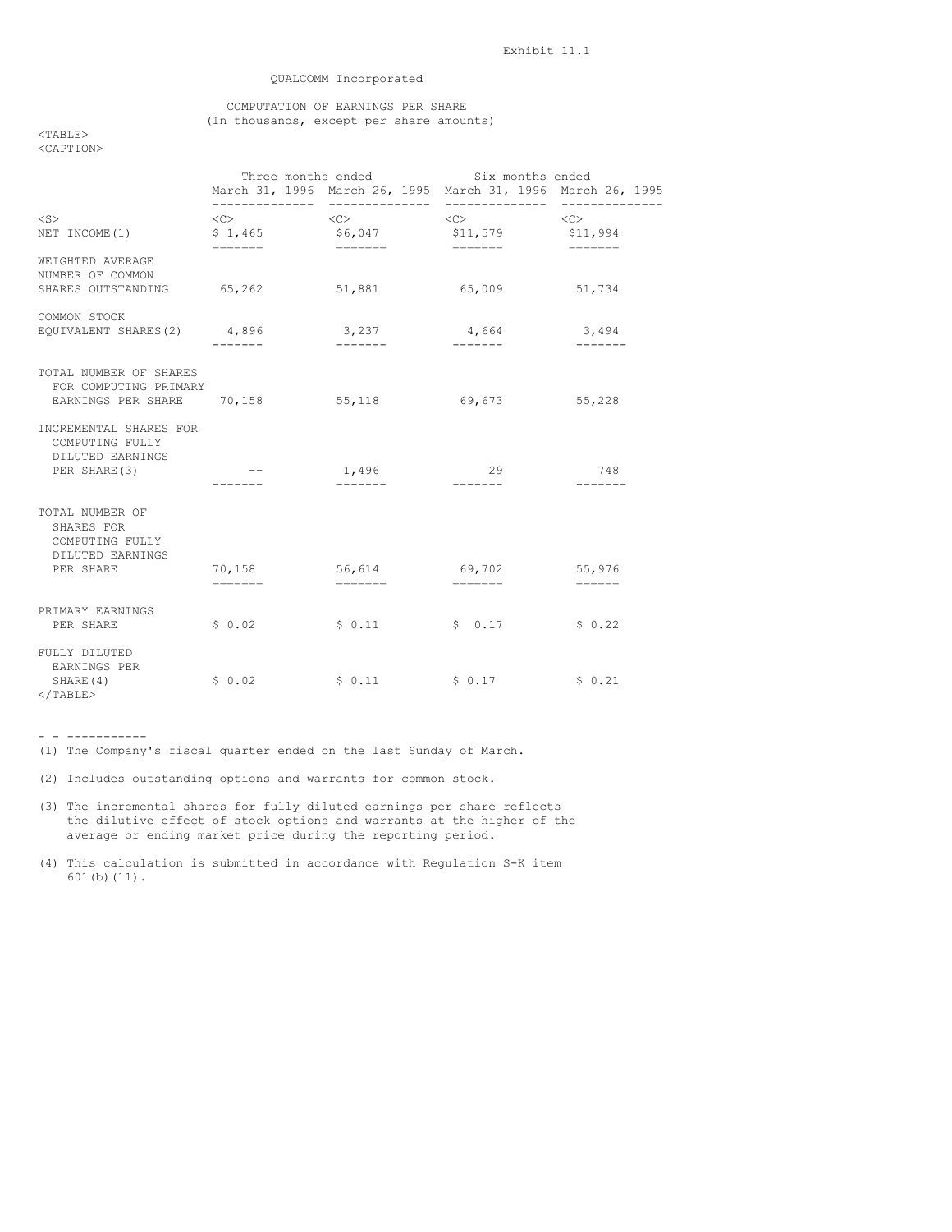## QUALCOMM Incorporated

## COMPUTATION OF EARNINGS PER SHARE (In thousands, except per share amounts)

<TABLE> <CAPTION>

|                                                                                     |                                              | Three months ended Six months ended<br>March 31, 1996 March 26, 1995 March 31, 1996 March 26, 1995 |                                                            |                                                                           |
|-------------------------------------------------------------------------------------|----------------------------------------------|----------------------------------------------------------------------------------------------------|------------------------------------------------------------|---------------------------------------------------------------------------|
| $<$ S $>$<br>NET INCOME (1)                                                         | $\langle$ C> $\rangle$<br>\$1,465<br>======= | $\langle C \rangle$<br>\$6,047                                                                     | $\langle C \rangle$<br>\$11,579<br>$=$ $=$ $=$ $=$ $=$ $=$ | $\langle C \rangle$<br>\$11,994<br>and a more and a more and a more and a |
| WEIGHTED AVERAGE<br>NUMBER OF COMMON<br>SHARES OUTSTANDING                          | 65,262                                       | 51,881                                                                                             | 65,009                                                     | 51,734                                                                    |
| COMMON STOCK<br>EQUIVALENT SHARES(2)                                                | 4,896<br>-------                             | 3,237<br>$- - - - - - -$                                                                           | 4,664                                                      | 3,494<br>$- - - - - - -$                                                  |
| TOTAL NUMBER OF SHARES<br>FOR COMPUTING PRIMARY<br>EARNINGS PER SHARE 70,158 55,118 |                                              |                                                                                                    | 69,673 55,228                                              |                                                                           |
| INCREMENTAL SHARES FOR<br>COMPUTING FULLY<br>DILUTED EARNINGS<br>PER SHARE (3)      |                                              | 1,496<br>-------                                                                                   | 29<br>--------                                             | 748<br>-------                                                            |
| TOTAL NUMBER OF<br>SHARES FOR<br>COMPUTING FULLY<br>DILUTED EARNINGS<br>PER SHARE   | 70,158<br>$=$ ======                         | 56,614 69,702                                                                                      |                                                            | 55,976<br>$\qquad \qquad \displaystyle =\qquad \qquad \qquad \qquad$      |
| PRIMARY EARNINGS<br>PER SHARE                                                       | \$0.02                                       | \$0.11                                                                                             | \$0.17                                                     | \$0.22                                                                    |
| FULLY DILUTED<br>EARNINGS PER<br>SHARE (4)<br>$\langle$ /TABLE>                     | \$0.02                                       | \$0.11                                                                                             | $S_0.17$                                                   | \$0.21                                                                    |

- - -----------

(1) The Company's fiscal quarter ended on the last Sunday of March.

(2) Includes outstanding options and warrants for common stock.

- (3) The incremental shares for fully diluted earnings per share reflects the dilutive effect of stock options and warrants at the higher of the average or ending market price during the reporting period.
- (4) This calculation is submitted in accordance with Regulation S-K item 601(b)(11).